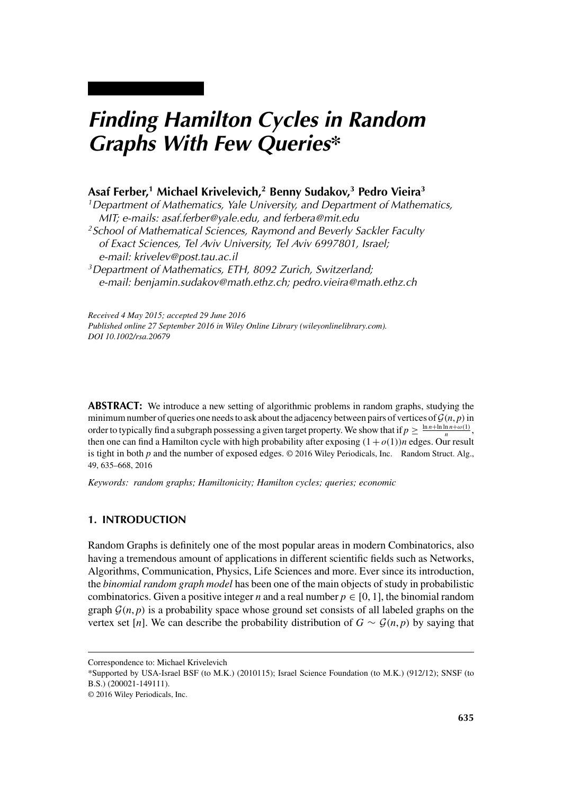# *Finding Hamilton Cycles in Random Graphs With Few Queries\**

# **Asaf Ferber,1 Michael Krivelevich,2 Benny Sudakov,3 Pedro Vieira3**

*1Department of Mathematics, Yale University, and Department of Mathematics, MIT; e-mails: asaf.ferber@yale.edu, and ferbera@mit.edu*

*2School of Mathematical Sciences, Raymond and Beverly Sackler Faculty of Exact Sciences, Tel Aviv University, Tel Aviv 6997801, Israel; e-mail: krivelev@post.tau.ac.il*

*3Department of Mathematics, ETH, 8092 Zurich, Switzerland; e-mail: benjamin.sudakov@math.ethz.ch; pedro.vieira@math.ethz.ch*

*Received 4 May 2015; accepted 29 June 2016 Published online 27 September 2016 in Wiley Online Library (wileyonlinelibrary.com). DOI 10.1002/rsa.20679*

**ABSTRACT:** We introduce a new setting of algorithmic problems in random graphs, studying the minimum number of queries one needs to ask about the adjacency between pairs of vertices of  $\mathcal{G}(n, p)$  in order to typically find a subgraph possessing a given target property. We show that if  $p \ge \frac{\ln n + \ln \ln n + \omega(1)}{n}$ , then one can find a Hamilton cycle with high probability after exposing  $(1 + o(1))n$  edges. Our result is tight in both *p* and the number of exposed edges. © 2016 Wiley Periodicals, Inc. Random Struct. Alg., 49, 635–668, 2016

*Keywords: random graphs; Hamiltonicity; Hamilton cycles; queries; economic*

# **1. INTRODUCTION**

Random Graphs is definitely one of the most popular areas in modern Combinatorics, also having a tremendous amount of applications in different scientific fields such as Networks, Algorithms, Communication, Physics, Life Sciences and more. Ever since its introduction, the *binomial random graph model* has been one of the main objects of study in probabilistic combinatorics. Given a positive integer *n* and a real number  $p \in [0, 1]$ , the binomial random graph  $G(n, p)$  is a probability space whose ground set consists of all labeled graphs on the vertex set [*n*]. We can describe the probability distribution of  $G \sim \mathcal{G}(n, p)$  by saying that

Correspondence to: Michael Krivelevich

<sup>\*</sup>Supported by USA-Israel BSF (to M.K.) (2010115); Israel Science Foundation (to M.K.) (912/12); SNSF (to B.S.) (200021-149111).

<sup>© 2016</sup> Wiley Periodicals, Inc.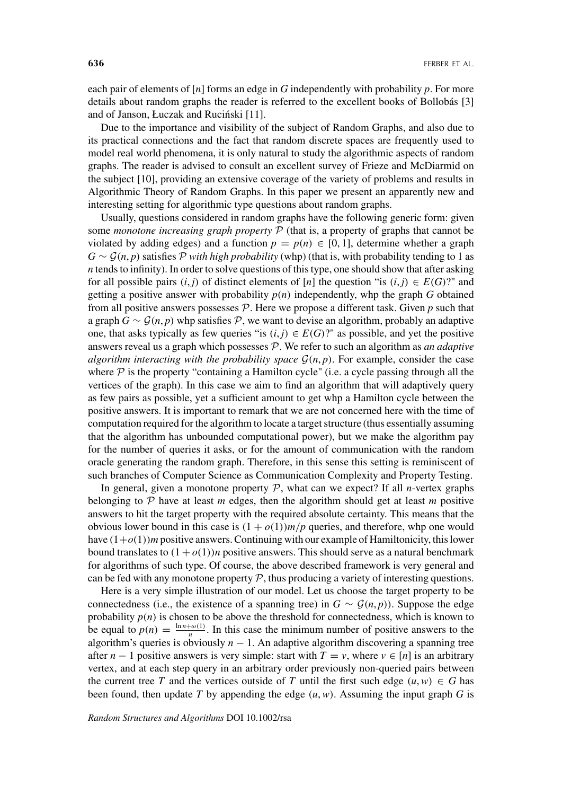each pair of elements of [*n*] forms an edge in *G* independently with probability *p*. For more details about random graphs the reader is referred to the excellent books of Bollobás [3] and of Janson, Łuczak and Ruciński [11].

Due to the importance and visibility of the subject of Random Graphs, and also due to its practical connections and the fact that random discrete spaces are frequently used to model real world phenomena, it is only natural to study the algorithmic aspects of random graphs. The reader is advised to consult an excellent survey of Frieze and McDiarmid on the subject [10], providing an extensive coverage of the variety of problems and results in Algorithmic Theory of Random Graphs. In this paper we present an apparently new and interesting setting for algorithmic type questions about random graphs.

Usually, questions considered in random graphs have the following generic form: given some *monotone increasing graph property* P (that is, a property of graphs that cannot be violated by adding edges) and a function  $p = p(n) \in [0, 1]$ , determine whether a graph  $G \sim \mathcal{G}(n, p)$  satisfies  $\mathcal P$  *with high probability* (whp) (that is, with probability tending to 1 as *n* tends to infinity). In order to solve questions of this type, one should show that after asking for all possible pairs  $(i, j)$  of distinct elements of  $[n]$  the question "is  $(i, j) \in E(G)$ ?" and getting a positive answer with probability  $p(n)$  independently, whp the graph *G* obtained from all positive answers possesses P. Here we propose a different task. Given *p* such that a graph  $G \sim \mathcal{G}(n, p)$  whp satisfies P, we want to devise an algorithm, probably an adaptive one, that asks typically as few queries "is  $(i, j) \in E(G)$ ?" as possible, and yet the positive answers reveal us a graph which possesses P. We refer to such an algorithm as *an adaptive algorithm interacting with the probability space*  $\mathcal{G}(n, p)$ . For example, consider the case where  $P$  is the property "containing a Hamilton cycle" (i.e. a cycle passing through all the vertices of the graph). In this case we aim to find an algorithm that will adaptively query as few pairs as possible, yet a sufficient amount to get whp a Hamilton cycle between the positive answers. It is important to remark that we are not concerned here with the time of computation required for the algorithm to locate a target structure (thus essentially assuming that the algorithm has unbounded computational power), but we make the algorithm pay for the number of queries it asks, or for the amount of communication with the random oracle generating the random graph. Therefore, in this sense this setting is reminiscent of such branches of Computer Science as Communication Complexity and Property Testing.

In general, given a monotone property  $P$ , what can we expect? If all *n*-vertex graphs belonging to  $P$  have at least *m* edges, then the algorithm should get at least *m* positive answers to hit the target property with the required absolute certainty. This means that the obvious lower bound in this case is  $(1 + o(1))m/p$  queries, and therefore, whp one would have  $(1+o(1))$ *m* positive answers. Continuing with our example of Hamiltonicity, this lower bound translates to  $(1 + o(1))n$  positive answers. This should serve as a natural benchmark for algorithms of such type. Of course, the above described framework is very general and can be fed with any monotone property  $P$ , thus producing a variety of interesting questions.

Here is a very simple illustration of our model. Let us choose the target property to be connectedness (i.e., the existence of a spanning tree) in  $G \sim \mathcal{G}(n, p)$ ). Suppose the edge probability  $p(n)$  is chosen to be above the threshold for connectedness, which is known to be equal to  $p(n) = \frac{\ln n + \omega(1)}{n}$ . In this case the minimum number of positive answers to the algorithm's queries is obviously  $n - 1$ . An adaptive algorithm discovering a spanning tree after *n* − 1 positive answers is very simple: start with  $T = v$ , where  $v \in [n]$  is an arbitrary vertex, and at each step query in an arbitrary order previously non-queried pairs between the current tree *T* and the vertices outside of *T* until the first such edge  $(u, w) \in G$  has been found, then update *T* by appending the edge  $(u, w)$ . Assuming the input graph *G* is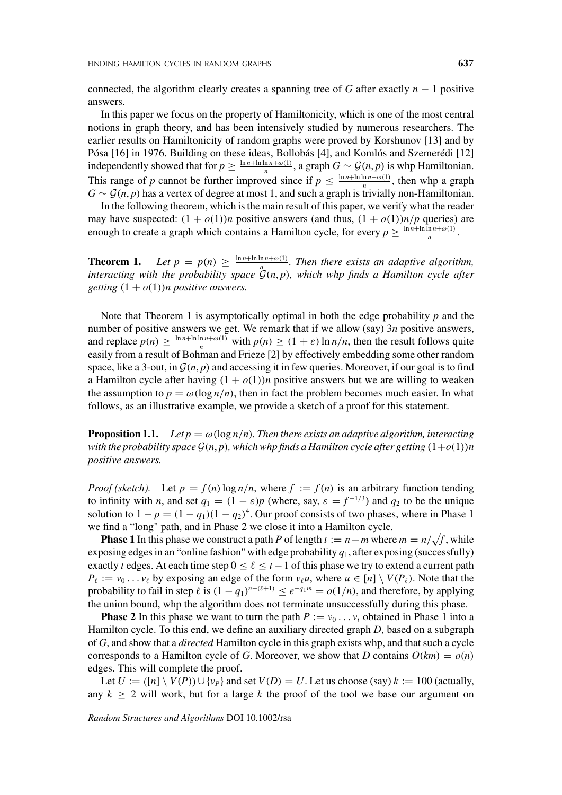connected, the algorithm clearly creates a spanning tree of *G* after exactly *n* − 1 positive answers.

In this paper we focus on the property of Hamiltonicity, which is one of the most central notions in graph theory, and has been intensively studied by numerous researchers. The earlier results on Hamiltonicity of random graphs were proved by Korshunov [13] and by Pósa [16] in 1976. Building on these ideas, Bollobás [4], and Komlós and Szemerédi [12] independently showed that for  $p \ge \frac{\ln n + \ln \ln n + \omega(1)}{n}$ , a graph  $G \sim \mathcal{G}(n, p)$  is whp Hamiltonian. This range of *p* cannot be further improved since if  $p \leq \frac{\ln n + \ln \ln n - \omega(1)}{n}$ , then whp a graph  $G \sim \mathcal{G}(n, p)$  has a vertex of degree at most 1, and such a graph is trivially non-Hamiltonian.

In the following theorem, which is the main result of this paper, we verify what the reader may have suspected:  $(1 + o(1))n$  positive answers (and thus,  $(1 + o(1))n/p$  queries) are enough to create a graph which contains a Hamilton cycle, for every  $p \ge \frac{\ln n + \ln \ln n + \omega(1)}{n}$ .

**Theorem 1.** *Let*  $p = p(n) \ge \frac{\ln n + \ln \ln n + \omega(1)}{n}$ . *Then there exists an adaptive algorithm, interacting with the probability space*  $\ddot{G}(n, p)$ *, which whp finds a Hamilton cycle after getting*  $(1 + o(1))n$  *positive answers.* 

Note that Theorem 1 is asymptotically optimal in both the edge probability *p* and the number of positive answers we get. We remark that if we allow (say) 3*n* positive answers, and replace  $p(n) \ge \frac{\ln n + \ln \ln n + \omega(1)}{n}$  with  $p(n) \ge (1 + \varepsilon) \ln n/n$ , then the result follows quite easily from a result of Bohman and Frieze [2] by effectively embedding some other random space, like a 3-out, in  $\mathcal{G}(n, p)$  and accessing it in few queries. Moreover, if our goal is to find a Hamilton cycle after having  $(1 + o(1))n$  positive answers but we are willing to weaken the assumption to  $p = \omega(\log n/n)$ , then in fact the problem becomes much easier. In what follows, as an illustrative example, we provide a sketch of a proof for this statement.

**Proposition 1.1.** Let  $p = \omega(\log n/n)$ . Then there exists an adaptive algorithm, interacting *with the probability space*  $\mathcal{G}(n, p)$ *, which whp finds a Hamilton cycle after getting*  $(1+o(1))n$ *positive answers.*

*Proof (sketch).* Let  $p = f(n) \log n/n$ , where  $f := f(n)$  is an arbitrary function tending to infinity with *n*, and set  $q_1 = (1 - \varepsilon)p$  (where, say,  $\varepsilon = f^{-1/3}$ ) and  $q_2$  to be the unique solution to  $1 - p = (1 - q_1)(1 - q_2)^4$ . Our proof consists of two phases, where in Phase 1 we find a "long" path, and in Phase 2 we close it into a Hamilton cycle.

**Phase 1** In this phase we construct a path *P* of length  $t := n - m$  where  $m = n/\sqrt{f}$ , while exposing edges in an "online fashion" with edge probability  $q_1$ , after exposing (successfully) exactly *t* edges. At each time step  $0 \le \ell \le t-1$  of this phase we try to extend a current path  $P_{\ell} := v_0 \dots v_{\ell}$  by exposing an edge of the form  $v_{\ell}u$ , where  $u \in [n] \setminus V(P_{\ell})$ . Note that the probability to fail in step  $\ell$  is  $(1 - q_1)^{n-(\ell+1)} \le e^{-q_1 m} = o(1/n)$ , and therefore, by applying the union bound, whp the algorithm does not terminate unsuccessfully during this phase.

**Phase 2** In this phase we want to turn the path  $P := v_0 \dots v_t$  obtained in Phase 1 into a Hamilton cycle. To this end, we define an auxiliary directed graph *D*, based on a subgraph of *G*, and show that a *directed* Hamilton cycle in this graph exists whp, and that such a cycle corresponds to a Hamilton cycle of *G*. Moreover, we show that *D* contains  $O(km) = o(n)$ edges. This will complete the proof.

Let *U* :=  $([n] \setminus V(P)) \cup \{v_P\}$  and set *V*(*D*) = *U*. Let us choose (say) *k* := 100 (actually, any  $k \geq 2$  will work, but for a large k the proof of the tool we base our argument on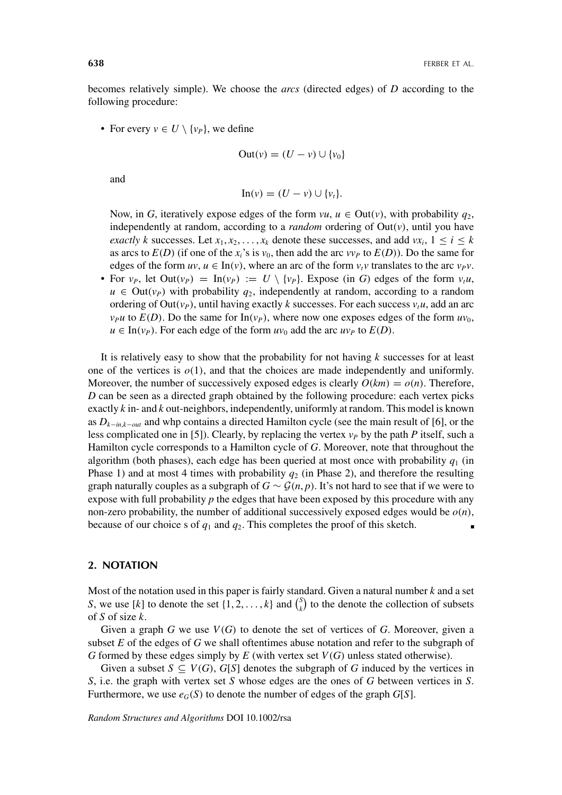becomes relatively simple). We choose the *arcs* (directed edges) of *D* according to the following procedure:

• For every  $v \in U \setminus \{v_p\}$ , we define

$$
Out(v) = (U - v) \cup \{v_0\}
$$

and

$$
\text{In}(v) = (U - v) \cup \{v_t\}.
$$

Now, in *G*, iteratively expose edges of the form  $vu, u \in Out(v)$ , with probability  $q_2$ , independently at random, according to a *random* ordering of Out*(v)*, until you have *exactly k* successes. Let  $x_1, x_2, \ldots, x_k$  denote these successes, and add  $vx_i$ ,  $1 \le i \le k$ as arcs to  $E(D)$  (if one of the  $x_i$ 's is  $v_0$ , then add the arc  $vv_p$  to  $E(D)$ ). Do the same for edges of the form  $uv, u \in \text{In}(v)$ , where an arc of the form  $v_t v$  translates to the arc  $v_P v$ .

• For  $v_p$ , let Out $(v_p)$  = In $(v_p)$  :=  $U \setminus \{v_p\}$ . Expose (in *G*) edges of the form  $v_t u$ ,  $u \in Out(v_P)$  with probability  $q_2$ , independently at random, according to a random ordering of Out( $v_P$ ), until having exactly *k* successes. For each success  $v_t u$ , add an arc  $\nu_P u$  to  $E(D)$ . Do the same for  $\text{In}(\nu_P)$ , where now one exposes edges of the form  $uv_0$ ,  $u \in \text{In}(v_P)$ . For each edge of the form  $uv_0$  add the arc  $uv_P$  to  $E(D)$ .

It is relatively easy to show that the probability for not having *k* successes for at least one of the vertices is  $o(1)$ , and that the choices are made independently and uniformly. Moreover, the number of successively exposed edges is clearly  $O(km) = o(n)$ . Therefore, *D* can be seen as a directed graph obtained by the following procedure: each vertex picks exactly *k* in- and *k* out-neighbors, independently, uniformly at random. This model is known as *Dk*<sup>−</sup>*in*,*k*−*out* and whp contains a directed Hamilton cycle (see the main result of [6], or the less complicated one in [5]). Clearly, by replacing the vertex  $v_P$  by the path *P* itself, such a Hamilton cycle corresponds to a Hamilton cycle of *G*. Moreover, note that throughout the algorithm (both phases), each edge has been queried at most once with probability  $q_1$  (in Phase 1) and at most 4 times with probability  $q_2$  (in Phase 2), and therefore the resulting graph naturally couples as a subgraph of  $G \sim \mathcal{G}(n, p)$ . It's not hard to see that if we were to expose with full probability *p* the edges that have been exposed by this procedure with any non-zero probability, the number of additional successively exposed edges would be  $o(n)$ , because of our choice s of  $q_1$  and  $q_2$ . This completes the proof of this sketch.  $\blacksquare$ 

## **2. NOTATION**

Most of the notation used in this paper is fairly standard. Given a natural number *k* and a set *S*, we use [*k*] to denote the set  $\{1, 2, ..., k\}$  and  $\binom{S}{k}$  to the denote the collection of subsets of *S* of size *k*.

Given a graph  $G$  we use  $V(G)$  to denote the set of vertices of  $G$ . Moreover, given a subset *E* of the edges of *G* we shall oftentimes abuse notation and refer to the subgraph of *G* formed by these edges simply by *E* (with vertex set *V(G)* unless stated otherwise).

Given a subset  $S \subseteq V(G)$ ,  $G[S]$  denotes the subgraph of G induced by the vertices in *S*, i.e. the graph with vertex set *S* whose edges are the ones of *G* between vertices in *S*. Furthermore, we use  $e_G(S)$  to denote the number of edges of the graph  $G[S]$ .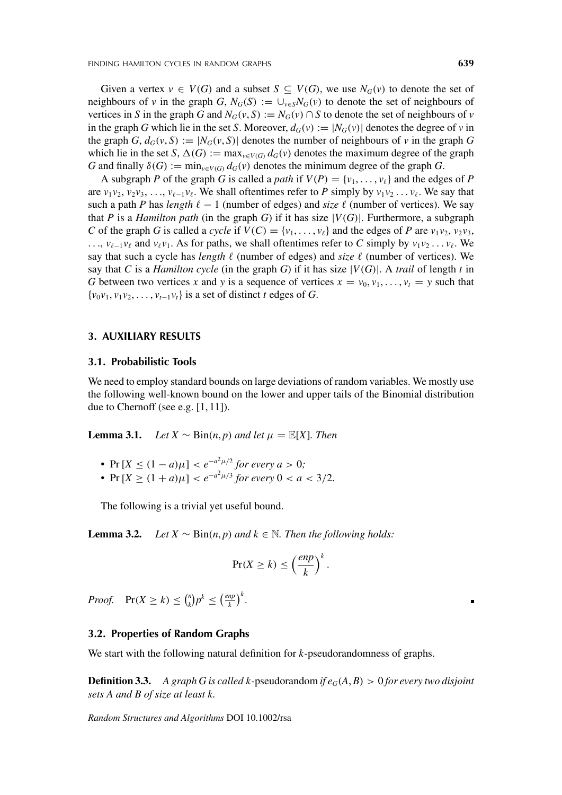Given a vertex  $v \in V(G)$  and a subset  $S \subseteq V(G)$ , we use  $N_G(v)$  to denote the set of neighbours of *v* in the graph *G*,  $N_G(S) := \bigcup_{v \in S} N_G(v)$  to denote the set of neighbours of vertices in *S* in the graph *G* and  $N_G(v, S) := N_G(v) \cap S$  to denote the set of neighbours of *v* in the graph *G* which lie in the set *S*. Moreover,  $d_G(v) := |N_G(v)|$  denotes the degree of *v* in the graph *G*,  $d_G(v, S) := |N_G(v, S)|$  denotes the number of neighbours of *v* in the graph *G* which lie in the set *S*,  $\Delta(G) := \max_{v \in V(G)} d_G(v)$  denotes the maximum degree of the graph *G* and finally  $\delta(G) := \min_{v \in V(G)} d_G(v)$  denotes the minimum degree of the graph *G*.

A subgraph *P* of the graph *G* is called a *path* if  $V(P) = \{v_1, \ldots, v_\ell\}$  and the edges of *P* are  $v_1v_2, v_2v_3, \ldots, v_{\ell-1}v_{\ell}$ . We shall oftentimes refer to *P* simply by  $v_1v_2 \ldots v_{\ell}$ . We say that such a path *P* has *length*  $\ell - 1$  (number of edges) and *size*  $\ell$  (number of vertices). We say that *P* is a *Hamilton path* (in the graph *G*) if it has size  $|V(G)|$ . Furthermore, a subgraph *C* of the graph *G* is called a *cycle* if  $V(C) = \{v_1, \ldots, v_\ell\}$  and the edges of *P* are  $v_1v_2, v_2v_3$ ,  $\ldots$ ,  $v_{\ell-1}v_{\ell}$  and  $v_{\ell}v_1$ . As for paths, we shall oftentimes refer to *C* simply by  $v_1v_2 \ldots v_{\ell}$ . We say that such a cycle has *length*  $\ell$  (number of edges) and *size*  $\ell$  (number of vertices). We say that *C* is a *Hamilton cycle* (in the graph *G*) if it has size  $|V(G)|$ . A *trail* of length *t* in *G* between two vertices *x* and *y* is a sequence of vertices  $x = v_0, v_1, \ldots, v_t = y$  such that  $\{v_0v_1, v_1v_2, \ldots, v_{t-1}v_t\}$  is a set of distinct *t* edges of *G*.

# **3. AUXILIARY RESULTS**

## **3.1. Probabilistic Tools**

We need to employ standard bounds on large deviations of random variables. We mostly use the following well-known bound on the lower and upper tails of the Binomial distribution due to Chernoff (see e.g. [1, 11]).

**Lemma 3.1.** *Let*  $X \sim Bin(n, p)$  *and let*  $\mu = \mathbb{E}[X]$ *. Then* 

- Pr  $[X \le (1 a)\mu] < e^{-a^2\mu/2}$  for every  $a > 0$ ;
- $Pr[X > (1 + a) \mu] < e^{-a^2 \mu/3}$  *for every*  $0 < a < 3/2$ .

The following is a trivial yet useful bound.

**Lemma 3.2.** *Let*  $X \sim Bin(n, p)$  *and*  $k \in \mathbb{N}$ *. Then the following holds:* 

$$
\Pr(X \ge k) \le \left(\frac{enp}{k}\right)^k.
$$

*Proof.*  $Pr(X \ge k) \le {n \choose k} p^k \le \left(\frac{e n p}{k}\right)^k$ .

## **3.2. Properties of Random Graphs**

We start with the following natural definition for *k*-pseudorandomness of graphs.

**Definition 3.3.** *A graph G is called k*-pseudorandom *if*  $e_G(A, B) > 0$  for every two disjoint *sets A and B of size at least k.*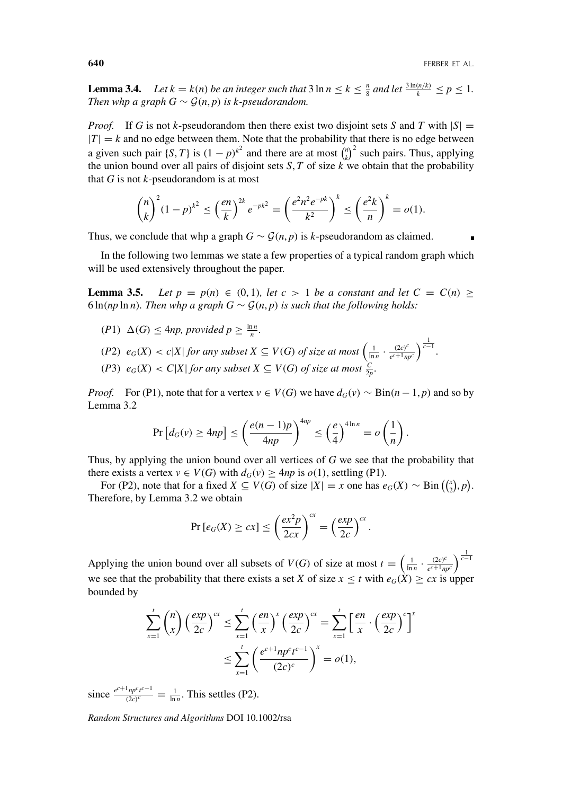**Lemma 3.4.** Let  $k = k(n)$  be an integer such that  $3 \ln n \le k \le \frac{n}{8}$  and let  $\frac{3 \ln(n/k)}{k} \le p \le 1$ . *Then whp a graph*  $G \sim \mathcal{G}(n, p)$  *is k-pseudorandom.* 

*Proof.* If *G* is not *k*-pseudorandom then there exist two disjoint sets *S* and *T* with  $|S|$  =  $|T| = k$  and no edge between them. Note that the probability that there is no edge between a given such pair  $\{S, T\}$  is  $(1 - p)^{k^2}$  and there are at most  $\binom{n}{k}^2$  such pairs. Thus, applying the union bound over all pairs of disjoint sets *S*, *T* of size  $k$  we obtain that the probability that *G* is not *k*-pseudorandom is at most

$$
{\binom{n}{k}}^2 (1-p)^{k^2} \leq {\left(\frac{en}{k}\right)}^{2k} e^{-pk^2} = {\left(\frac{e^2 n^2 e^{-pk}}{k^2}\right)}^k \leq {\left(\frac{e^2 k}{n}\right)}^k = o(1).
$$

Thus, we conclude that whp a graph  $G \sim \mathcal{G}(n, p)$  is *k*-pseudorandom as claimed.

In the following two lemmas we state a few properties of a typical random graph which will be used extensively throughout the paper.

**Lemma 3.5.** Let  $p = p(n) \in (0, 1)$ , let  $c > 1$  be a constant and let  $C = C(n) \ge$ 6 ln(*np* ln *n*). Then whp a graph  $G \sim \mathcal{G}(n, p)$  is such that the following holds:

- $(P1) \Delta(G) \leq 4np$ , provided  $p \geq \frac{\ln n}{n}$ .
- (P2)  $e_G(X) < c|X|$  for any subset  $X \subseteq V(G)$  of size at most  $\left(\frac{1}{\ln n} \cdot \frac{(2c)^c}{e^{c+1}np^c}\right)^{\frac{1}{c-1}}$ . (*P*3*)*  $e_G(X) < C|X|$  *for any subset*  $X \subseteq V(G)$  *of size at most*  $\frac{C}{2p}$ *.*

*Proof.* For (P1), note that for a vertex  $v \in V(G)$  we have  $d_G(v) \sim Bin(n-1, p)$  and so by Lemma 3.2

$$
\Pr\left[d_G(v)\geq 4np\right]\leq \left(\frac{e(n-1)p}{4np}\right)^{4np}\leq \left(\frac{e}{4}\right)^{4\ln n}=o\left(\frac{1}{n}\right).
$$

Thus, by applying the union bound over all vertices of *G* we see that the probability that there exists a vertex  $v \in V(G)$  with  $d_G(v) \ge 4np$  is  $o(1)$ , settling (P1).

For (P2), note that for a fixed  $X \subseteq V(G)$  of size  $|X| = x$  one has  $e_G(X) \sim \text{Bin}(\binom{x}{2}, p)$ . Therefore, by Lemma 3.2 we obtain

$$
\Pr\left[e_G(X)\geq cx\right]\leq \left(\frac{ex^2p}{2cx}\right)^{cx}=\left(\frac{exp}{2c}\right)^{cx}.
$$

Applying the union bound over all subsets of *V*(*G*) of size at most  $t = \left(\frac{1}{\ln n} \cdot \frac{(2c)^c}{e^{c+1}npc}\right)^{\frac{1}{c-1}}$ we see that the probability that there exists a set *X* of size  $x \le t$  with  $e_G(X) \ge cx$  is upper bounded by

$$
\sum_{x=1}^{t} {n \choose x} \left(\frac{exp}{2c}\right)^{cx} \le \sum_{x=1}^{t} \left(\frac{en}{x}\right)^{x} \left(\frac{exp}{2c}\right)^{cx} = \sum_{x=1}^{t} \left[\frac{en}{x} \cdot \left(\frac{exp}{2c}\right)^{c}\right]^{x}
$$

$$
\le \sum_{x=1}^{t} \left(\frac{e^{c+1} n p^{c} t^{c-1}}{(2c)^{c}}\right)^{x} = o(1),
$$

since  $\frac{e^{c+1} n p^c t^{c-1}}{(2c)^c} = \frac{1}{\ln n}$ . This settles (P2).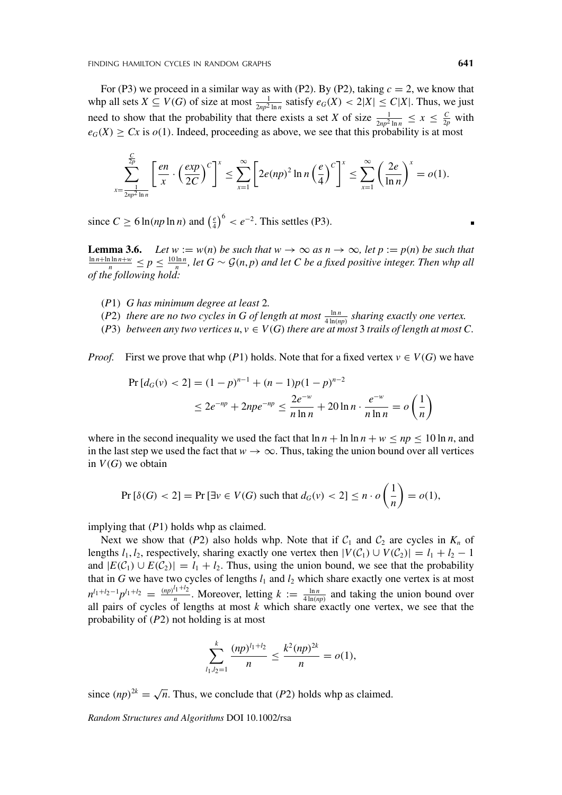For (P3) we proceed in a similar way as with (P2). By (P2), taking  $c = 2$ , we know that whp all sets  $X \subseteq V(G)$  of size at most  $\frac{1}{2np^2 \ln n}$  satisfy  $e_G(X) < 2|X| \leq C|X|$ . Thus, we just need to show that the probability that there exists a set *X* of size  $\frac{1}{2np^2 \ln n} \le x \le \frac{C}{2p}$  with  $e_G(X) \geq Cx$  is  $o(1)$ . Indeed, proceeding as above, we see that this probability is at most

$$
\sum_{x=\frac{1}{2np^2\ln n}}^{\frac{C}{2p}} \left[\frac{en}{x} \cdot \left(\frac{exp}{2C}\right)^C\right]^x \le \sum_{x=1}^{\infty} \left[2e(np)^2\ln n\left(\frac{e}{4}\right)^C\right]^x \le \sum_{x=1}^{\infty} \left(\frac{2e}{\ln n}\right)^x = o(1).
$$

since  $C \ge 6 \ln(np \ln n)$  and  $\left(\frac{e}{4}\right)^6 < e^{-2}$ . This settles (P3).

**Lemma 3.6.** *Let*  $w := w(n)$  *be such that*  $w \to \infty$  *as*  $n \to \infty$ *, let*  $p := p(n)$  *be such that*  $\frac{\ln n + \ln \ln n + w}{n}$  ≤  $p$  ≤  $\frac{10 \ln n}{n}$ , let  $G \sim \mathcal{G}(n, p)$  and let C be a fixed positive integer. Then whp all *of the following hold:*

- *(P*1*) G has minimum degree at least* 2*.*
- *(P2) there are no two cycles in G of length at most*  $\frac{\ln n}{4 \ln(np)}$  *sharing exactly one vertex.*
- *(P3) between any two vertices*  $u, v \in V(G)$  *there are at most 3 trails of length at most C.*

*Proof.* First we prove that whp *(P*1*)* holds. Note that for a fixed vertex  $v \in V(G)$  we have

$$
\Pr\left[d_G(v) < 2\right] = (1 - p)^{n - 1} + (n - 1)p(1 - p)^{n - 2}
$$
\n
$$
\leq 2e^{-np} + 2npe^{-np} \leq \frac{2e^{-w}}{n \ln n} + 20 \ln n \cdot \frac{e^{-w}}{n \ln n} = o\left(\frac{1}{n}\right)
$$

where in the second inequality we used the fact that  $\ln n + \ln \ln n + w \le np \le 10 \ln n$ , and in the last step we used the fact that  $w \to \infty$ . Thus, taking the union bound over all vertices in  $V(G)$  we obtain

$$
\Pr\left[\delta(G) < 2\right] = \Pr\left[\exists v \in V(G) \text{ such that } d_G(v) < 2\right] \le n \cdot o\left(\frac{1}{n}\right) = o(1),
$$

implying that *(P*1*)* holds whp as claimed.

Next we show that (P2) also holds whp. Note that if  $C_1$  and  $C_2$  are cycles in  $K_n$  of lengths  $l_1$ ,  $l_2$ , respectively, sharing exactly one vertex then  $|V(C_1) \cup V(C_2)| = l_1 + l_2 - 1$ and  $|E(C_1) \cup E(C_2)| = l_1 + l_2$ . Thus, using the union bound, we see that the probability that in *G* we have two cycles of lengths  $l_1$  and  $l_2$  which share exactly one vertex is at most  $n^{l_1+l_2-1}p^{l_1+l_2} = \frac{(np)^{l_1+l_2}}{n}$ . Moreover, letting  $k := \frac{\ln n}{4 \ln(np)}$  and taking the union bound over all pairs of cycles of lengths at most  $k$  which share exactly one vertex, we see that the probability of *(P*2*)* not holding is at most

$$
\sum_{l_1,l_2=1}^k \frac{(np)^{l_1+l_2}}{n} \le \frac{k^2 (np)^{2k}}{n} = o(1),
$$

since  $(np)^{2k} = \sqrt{n}$ . Thus, we conclude that *(P2)* holds whp as claimed.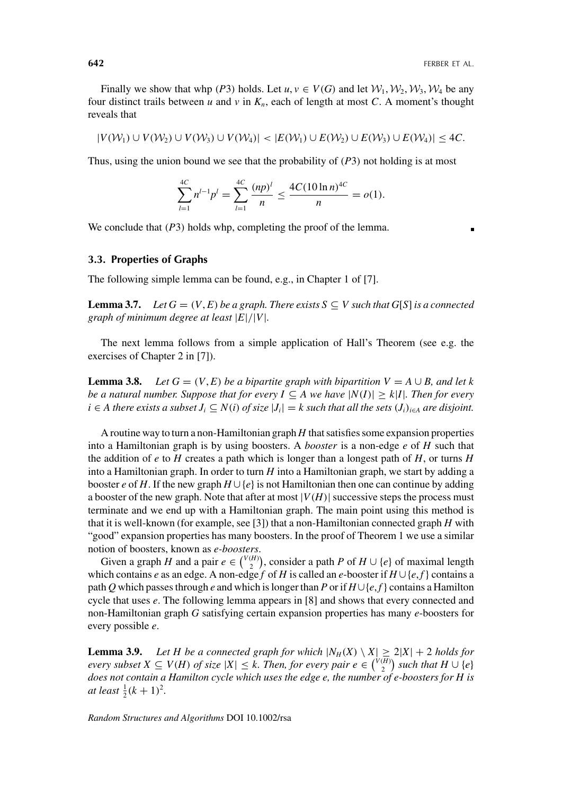$\blacksquare$ 

Finally we show that whp *(P3)* holds. Let  $u, v \in V(G)$  and let  $W_1, W_2, W_3, W_4$  be any four distinct trails between *u* and *v* in  $K_n$ , each of length at most *C*. A moment's thought reveals that

$$
|V(\mathcal{W}_1) \cup V(\mathcal{W}_2) \cup V(\mathcal{W}_3) \cup V(\mathcal{W}_4)| < |E(\mathcal{W}_1) \cup E(\mathcal{W}_2) \cup E(\mathcal{W}_3) \cup E(\mathcal{W}_4)| \leq 4C.
$$

Thus, using the union bound we see that the probability of *(P*3*)* not holding is at most

$$
\sum_{l=1}^{4C} n^{l-1} p^l = \sum_{l=1}^{4C} \frac{(np)^l}{n} \le \frac{4C(10 \ln n)^{4C}}{n} = o(1).
$$

We conclude that *(P*3*)* holds whp, completing the proof of the lemma.

## **3.3. Properties of Graphs**

The following simple lemma can be found, e.g., in Chapter 1 of [7].

**Lemma 3.7.** Let  $G = (V, E)$  be a graph. There exists  $S \subseteq V$  such that  $G[S]$  is a connected *graph of minimum degree at least* |*E*|*/*|*V*|*.*

The next lemma follows from a simple application of Hall's Theorem (see e.g. the exercises of Chapter 2 in [7]).

**Lemma 3.8.** *Let*  $G = (V, E)$  *be a bipartite graph with bipartition*  $V = A \cup B$ *, and let* k *be a natural number. Suppose that for every*  $I \subseteq A$  *we have*  $|N(I)| \geq k|I|$ *. Then for every i* ∈ *A* there exists a subset  $J_i$  ⊆  $N(i)$  of size  $|J_i|$  =  $k$  such that all the sets  $(J_i)_{i \in A}$  are disjoint.

A routine way to turn a non-Hamiltonian graph *H* that satisfies some expansion properties into a Hamiltonian graph is by using boosters. A *booster* is a non-edge *e* of *H* such that the addition of *e* to *H* creates a path which is longer than a longest path of *H*, or turns *H* into a Hamiltonian graph. In order to turn *H* into a Hamiltonian graph, we start by adding a booster *e* of *H*. If the new graph  $H \cup \{e\}$  is not Hamiltonian then one can continue by adding a booster of the new graph. Note that after at most  $|V(H)|$  successive steps the process must terminate and we end up with a Hamiltonian graph. The main point using this method is that it is well-known (for example, see [3]) that a non-Hamiltonian connected graph *H* with "good" expansion properties has many boosters. In the proof of Theorem 1 we use a similar notion of boosters, known as *e-boosters*.

Given a graph *H* and a pair  $e \in {V(H) \choose 2}$ , consider a path *P* of *H* ∪ {*e*} of maximal length which contains *e* as an edge. A non-edge *f* of *H* is called an *e*-booster if  $H \cup \{e, f\}$  contains a path *Q* which passes through *e* and which is longer than *P* or if  $H \cup \{e, f\}$  contains a Hamilton cycle that uses *e*. The following lemma appears in [8] and shows that every connected and non-Hamiltonian graph *G* satisfying certain expansion properties has many *e*-boosters for every possible *e*.

**Lemma 3.9.** *Let H be a connected graph for which*  $|N_H(X) \setminus X| \ge 2|X| + 2$  *holds for every subset*  $X ⊆ V(H)$  *of size*  $|X| ≤ k$ *. Then, for every pair e* ∈  ${V(H) \choose 2}$  *such that*  $H ∪ {e}$ *does not contain a Hamilton cycle which uses the edge e, the number of e-boosters for H is at least*  $\frac{1}{2}(k+1)^2$ *.*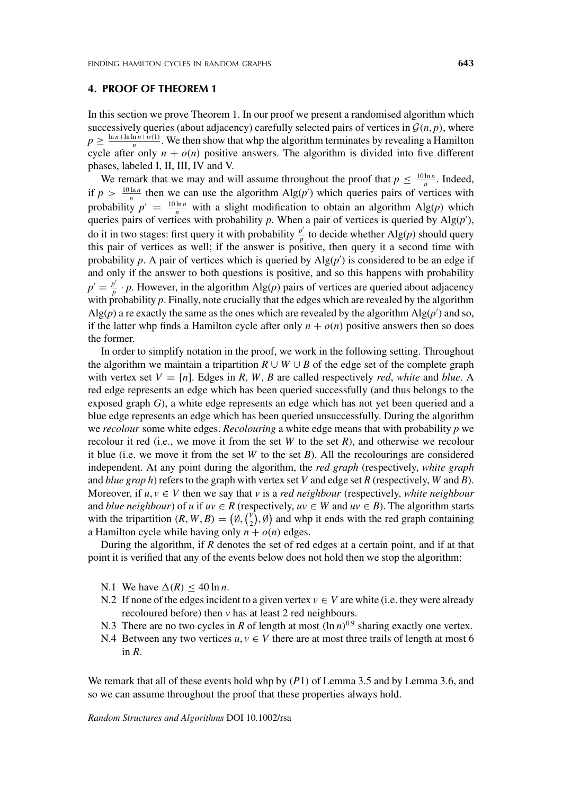## **4. PROOF OF THEOREM 1**

In this section we prove Theorem 1. In our proof we present a randomised algorithm which successively queries (about adjacency) carefully selected pairs of vertices in  $\mathcal{G}(n, p)$ , where  $p \geq \frac{\ln n + \ln \ln n + w(1)}{n}$ . We then show that whp the algorithm terminates by revealing a Hamilton cycle after only  $n + o(n)$  positive answers. The algorithm is divided into five different phases, labeled I, II, III, IV and V.

We remark that we may and will assume throughout the proof that  $p \leq \frac{10 \ln n}{n}$ . Indeed, if  $p > \frac{10 \ln n}{n}$  then we can use the algorithm Alg(*p'*) which queries pairs of vertices with probability  $p' = \frac{10 \ln n}{n}$  with a slight modification to obtain an algorithm Alg(*p*) which queries pairs of vertices with probability  $p$ . When a pair of vertices is queried by  $\text{Alg}(p')$ , do it in two stages: first query it with probability  $\frac{p'}{p}$  to decide whether Alg(*p*) should query this pair of vertices as well; if the answer is positive, then query it a second time with probability  $p$ . A pair of vertices which is queried by  $\text{Alg}(p')$  is considered to be an edge if and only if the answer to both questions is positive, and so this happens with probability  $p' = \frac{p'}{p} \cdot p$ . However, in the algorithm Alg(*p*) pairs of vertices are queried about adjacency with probability *p*. Finally, note crucially that the edges which are revealed by the algorithm  $\text{Alg}(p)$  a re exactly the same as the ones which are revealed by the algorithm  $\text{Alg}(p')$  and so, if the latter whp finds a Hamilton cycle after only  $n + o(n)$  positive answers then so does the former.

In order to simplify notation in the proof, we work in the following setting. Throughout the algorithm we maintain a tripartition  $R \cup W \cup B$  of the edge set of the complete graph with vertex set  $V = [n]$ . Edges in *R*, *W*, *B* are called respectively *red*, *white* and *blue*. A red edge represents an edge which has been queried successfully (and thus belongs to the exposed graph *G*), a white edge represents an edge which has not yet been queried and a blue edge represents an edge which has been queried unsuccessfully. During the algorithm we *recolour* some white edges. *Recolouring* a white edge means that with probability *p* we recolour it red (i.e., we move it from the set *W* to the set *R*), and otherwise we recolour it blue (i.e. we move it from the set *W* to the set *B*). All the recolourings are considered independent. At any point during the algorithm, the *red graph* (respectively, *white graph* and *blue grap h*) refers to the graph with vertex set *V* and edge set *R* (respectively, *W* and *B*). Moreover, if  $u, v \in V$  then we say that *v* is a *red neighbour* (respectively, *white neighbour* and *blue neighbour*) of *u* if  $uv \in R$  (respectively,  $uv \in W$  and  $uv \in B$ ). The algorithm starts with the tripartition  $(R, W, B) = (\emptyset, {V \choose 2}, \emptyset)$  and whp it ends with the red graph containing a Hamilton cycle while having only  $n + o(n)$  edges.

During the algorithm, if *R* denotes the set of red edges at a certain point, and if at that point it is verified that any of the events below does not hold then we stop the algorithm:

- N.1 We have  $\Delta(R) \leq 40 \ln n$ .
- N.2 If none of the edges incident to a given vertex  $v \in V$  are white (i.e. they were already recoloured before) then  $\nu$  has at least 2 red neighbours.
- N.3 There are no two cycles in *R* of length at most  $(\ln n)^{0.9}$  sharing exactly one vertex.
- N.4 Between any two vertices  $u, v \in V$  there are at most three trails of length at most 6 in *R*.

We remark that all of these events hold whp by *(P*1*)* of Lemma 3.5 and by Lemma 3.6, and so we can assume throughout the proof that these properties always hold.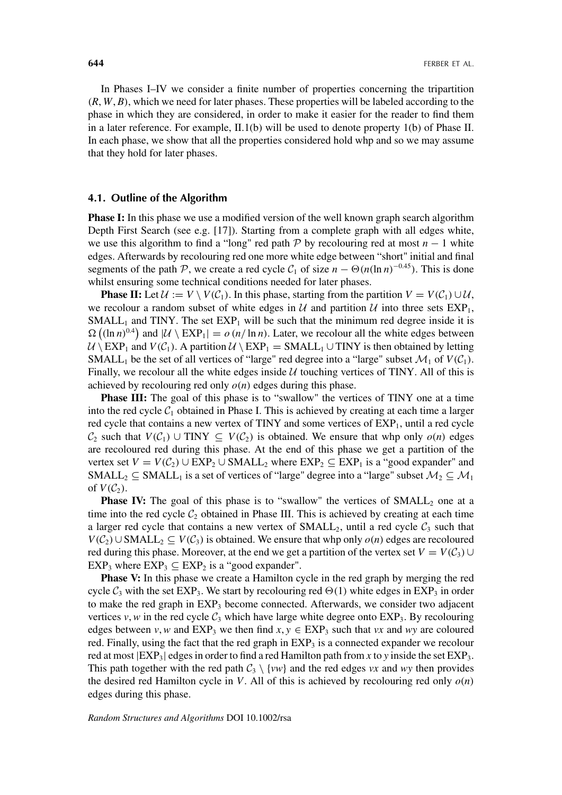In Phases I–IV we consider a finite number of properties concerning the tripartition *(R*, *W*, *B)*, which we need for later phases. These properties will be labeled according to the phase in which they are considered, in order to make it easier for the reader to find them in a later reference. For example, II.1(b) will be used to denote property 1(b) of Phase II. In each phase, we show that all the properties considered hold whp and so we may assume that they hold for later phases.

#### **4.1. Outline of the Algorithm**

**Phase I:** In this phase we use a modified version of the well known graph search algorithm Depth First Search (see e.g. [17]). Starting from a complete graph with all edges white, we use this algorithm to find a "long" red path  $P$  by recolouring red at most  $n - 1$  white edges. Afterwards by recolouring red one more white edge between "short" initial and final segments of the path P, we create a red cycle  $C_1$  of size  $n - \Theta(n(\ln n)^{-0.45})$ . This is done whilst ensuring some technical conditions needed for later phases.

**Phase II:** Let  $\mathcal{U} := V \setminus V(\mathcal{C}_1)$ . In this phase, starting from the partition  $V = V(\mathcal{C}_1) \cup \mathcal{U}$ , we recolour a random subset of white edges in  $U$  and partition  $U$  into three sets  $EXP<sub>1</sub>$ ,  $SMALL<sub>1</sub>$  and TINY. The set  $EXP<sub>1</sub>$  will be such that the minimum red degree inside it is  $\Omega((\ln n)^{0.4})$  and  $|U \setminus EXP_1| = o(n/\ln n)$ . Later, we recolour all the white edges between  $U \setminus EXP_1$  and  $V(C_1)$ . A partition  $U \setminus EXP_1 = SMALL_1 \cup TINY$  is then obtained by letting SMALL<sub>1</sub> be the set of all vertices of "large" red degree into a "large" subset  $\mathcal{M}_1$  of  $V(\mathcal{C}_1)$ . Finally, we recolour all the white edges inside  $U$  touching vertices of TINY. All of this is achieved by recolouring red only *o(n)* edges during this phase.

**Phase III:** The goal of this phase is to "swallow" the vertices of TINY one at a time into the red cycle  $C_1$  obtained in Phase I. This is achieved by creating at each time a larger red cycle that contains a new vertex of TINY and some vertices of  $EXP<sub>1</sub>$ , until a red cycle  $C_2$  such that  $V(C_1) \cup \text{TINY} \subseteq V(C_2)$  is obtained. We ensure that whp only  $o(n)$  edges are recoloured red during this phase. At the end of this phase we get a partition of the vertex set  $V = V(C_2) \cup EXP_2 \cup SMALL_2$  where  $EXP_2 \subseteq EXP_1$  is a "good expander" and SMALL<sub>2</sub>  $\subseteq$  SMALL<sub>1</sub> is a set of vertices of "large" degree into a "large" subset  $M_2 \subseteq M_1$ of  $V(\mathcal{C}_2)$ .

**Phase IV:** The goal of this phase is to "swallow" the vertices of  $SMALL_2$  one at a time into the red cycle  $C_2$  obtained in Phase III. This is achieved by creating at each time a larger red cycle that contains a new vertex of  $SMALL<sub>2</sub>$ , until a red cycle  $C<sub>3</sub>$  such that *V*( $C_2$ )∪SMALL<sub>2</sub> ⊆ *V*( $C_3$ ) is obtained. We ensure that whp only *o*(*n*) edges are recoloured red during this phase. Moreover, at the end we get a partition of the vertex set  $V = V(\mathcal{C}_3) \cup$ EXP<sub>3</sub> where  $EXP_3 \subseteq EXP_2$  is a "good expander".

**Phase V:** In this phase we create a Hamilton cycle in the red graph by merging the red cycle  $C_3$  with the set EXP<sub>3</sub>. We start by recolouring red  $\Theta(1)$  white edges in EXP<sub>3</sub> in order to make the red graph in  $EXP<sub>3</sub>$  become connected. Afterwards, we consider two adjacent vertices  $v, w$  in the red cycle  $C_3$  which have large white degree onto  $EXP_3$ . By recolouring edges between *v*, *w* and EXP<sub>3</sub> we then find  $x, y \in EXP_3$  such that *vx* and *wy* are coloured red. Finally, using the fact that the red graph in  $EXP<sub>3</sub>$  is a connected expander we recolour red at most |EXP3| edges in order to find a red Hamilton path from *x* to *y* inside the set EXP3. This path together with the red path  $C_3 \setminus \{vw\}$  and the red edges *vx* and *wy* then provides the desired red Hamilton cycle in *V*. All of this is achieved by recolouring red only  $o(n)$ edges during this phase.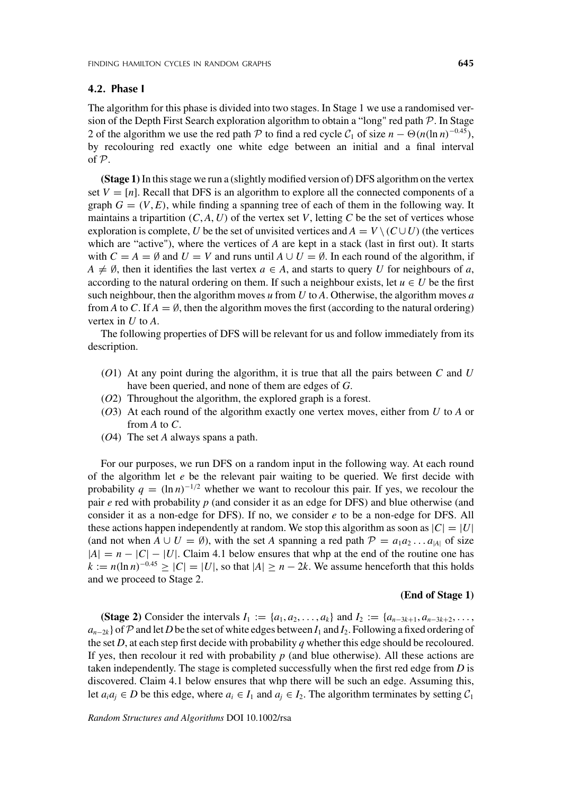## **4.2. Phase I**

The algorithm for this phase is divided into two stages. In Stage 1 we use a randomised version of the Depth First Search exploration algorithm to obtain a "long" red path  $P$ . In Stage 2 of the algorithm we use the red path P to find a red cycle  $C_1$  of size  $n - \Theta(n(\ln n)^{-0.45})$ , by recolouring red exactly one white edge between an initial and a final interval of P.

**(Stage 1)**In this stage we run a (slightly modified version of) DFS algorithm on the vertex set  $V = [n]$ . Recall that DFS is an algorithm to explore all the connected components of a graph  $G = (V, E)$ , while finding a spanning tree of each of them in the following way. It maintains a tripartition  $(C, A, U)$  of the vertex set V, letting C be the set of vertices whose exploration is complete, *U* be the set of unvisited vertices and  $A = V \setminus (C \cup U)$  (the vertices which are "active"), where the vertices of *A* are kept in a stack (last in first out). It starts with  $C = A = \emptyset$  and  $U = V$  and runs until  $A \cup U = \emptyset$ . In each round of the algorithm, if  $A \neq \emptyset$ , then it identifies the last vertex  $a \in A$ , and starts to query *U* for neighbours of *a*, according to the natural ordering on them. If such a neighbour exists, let  $u \in U$  be the first such neighbour, then the algorithm moves *u* from *U* to *A*. Otherwise, the algorithm moves *a* from *A* to *C*. If  $A = \emptyset$ , then the algorithm moves the first (according to the natural ordering) vertex in *U* to *A*.

The following properties of DFS will be relevant for us and follow immediately from its description.

- *(O*1*)* At any point during the algorithm, it is true that all the pairs between *C* and *U* have been queried, and none of them are edges of *G*.
- *(O*2*)* Throughout the algorithm, the explored graph is a forest.
- *(O*3*)* At each round of the algorithm exactly one vertex moves, either from *U* to *A* or from *A* to *C*.
- *(O*4*)* The set *A* always spans a path.

For our purposes, we run DFS on a random input in the following way. At each round of the algorithm let *e* be the relevant pair waiting to be queried. We first decide with probability  $q = (\ln n)^{-1/2}$  whether we want to recolour this pair. If yes, we recolour the pair *e* red with probability *p* (and consider it as an edge for DFS) and blue otherwise (and consider it as a non-edge for DFS). If no, we consider *e* to be a non-edge for DFS. All these actions happen independently at random. We stop this algorithm as soon as  $|C|=|U|$ (and not when  $A \cup U = \emptyset$ ), with the set *A* spanning a red path  $\mathcal{P} = a_1 a_2 \dots a_{|A|}$  of size  $|A| = n - |C| - |U|$ . Claim 4.1 below ensures that whp at the end of the routine one has  $k := n(\ln n)^{-0.45} \ge |C| = |U|$ , so that  $|A| \ge n - 2k$ . We assume henceforth that this holds and we proceed to Stage 2.

#### **(End of Stage 1)**

**(Stage 2)** Consider the intervals  $I_1 := \{a_1, a_2, \ldots, a_k\}$  and  $I_2 := \{a_{n-3k+1}, a_{n-3k+2}, \ldots, a_{n-3k+2}, \ldots, a_{n-3k+2}, \ldots, a_{n-3k+3k+3}\}$  $a_{n-2k}$  } of  $P$  and let *D* be the set of white edges between  $I_1$  and  $I_2$ . Following a fixed ordering of the set *D*, at each step first decide with probability *q* whether this edge should be recoloured. If yes, then recolour it red with probability  $p$  (and blue otherwise). All these actions are taken independently. The stage is completed successfully when the first red edge from *D* is discovered. Claim 4.1 below ensures that whp there will be such an edge. Assuming this, let  $a_i a_j \in D$  be this edge, where  $a_i \in I_1$  and  $a_i \in I_2$ . The algorithm terminates by setting  $C_1$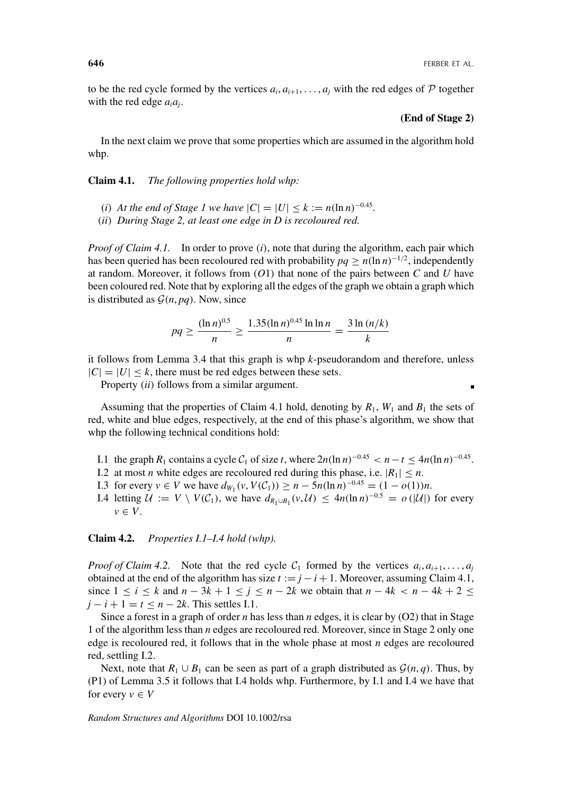to be the red cycle formed by the vertices  $a_i, a_{i+1}, \ldots, a_i$  with the red edges of P together with the red edge  $a_i a_j$ .

**(End of Stage 2)**

In the next claim we prove that some properties which are assumed in the algorithm hold whp.

**Claim 4.1.** *The following properties hold whp:*

- *(i) At the end of Stage 1 we have*  $|C| = |U| ≤ k := n(\ln n)^{-0.45}$ *.*
- *(ii) During Stage 2, at least one edge in D is recoloured red.*

*Proof of Claim 4.1.* In order to prove *(i)*, note that during the algorithm, each pair which has been queried has been recoloured red with probability  $pq > n(\ln n)^{-1/2}$ , independently at random. Moreover, it follows from *(O*1*)* that none of the pairs between *C* and *U* have been coloured red. Note that by exploring all the edges of the graph we obtain a graph which is distributed as  $G(n, pq)$ . Now, since

$$
pq \ge \frac{(\ln n)^{0.5}}{n} \ge \frac{1.35(\ln n)^{0.45} \ln \ln n}{n} = \frac{3 \ln (n/k)}{k}
$$

it follows from Lemma 3.4 that this graph is whp *k*-pseudorandom and therefore, unless  $|C|=|U| \leq k$ , there must be red edges between these sets.

Property *(ii)* follows from a similar argument.

Assuming that the properties of Claim 4.1 hold, denoting by  $R_1$ ,  $W_1$  and  $B_1$  the sets of red, white and blue edges, respectively, at the end of this phase's algorithm, we show that whp the following technical conditions hold:

- I.1 the graph  $R_1$  contains a cycle  $C_1$  of size *t*, where  $2n(\ln n)^{-0.45} < n t \le 4n(\ln n)^{-0.45}$ .
- I.2 at most *n* white edges are recoloured red during this phase, i.e.  $|R_1| \le n$ .
- I.3 for every *v* ∈ *V* we have  $d_{W_1}(v, V(\mathcal{C}_1)) \ge n 5n(\ln n)^{-0.45} = (1 o(1))n$ .
- I.4 letting  $\mathcal{U} := V \setminus V(\mathcal{C}_1)$ , we have  $d_{R_1 \cup B_1}(v, \mathcal{U}) \leq 4n(\ln n)^{-0.5} = o(|\mathcal{U}|)$  for every  $v \in V$ .

# **Claim 4.2.** *Properties I.1–I.4 hold (whp).*

*Proof of Claim 4.2.* Note that the red cycle  $C_1$  formed by the vertices  $a_i, a_{i+1}, \ldots, a_j$ obtained at the end of the algorithm has size  $t := j - i + 1$ . Moreover, assuming Claim 4.1, since  $1 \le i \le k$  and  $n - 3k + 1 \le j \le n - 2k$  we obtain that  $n - 4k < n - 4k + 2 \le k$  $j - i + 1 = t \leq n - 2k$ . This settles I.1.

Since a forest in a graph of order *n* has less than *n* edges, it is clear by (O2) that in Stage 1 of the algorithm less than *n* edges are recoloured red. Moreover, since in Stage 2 only one edge is recoloured red, it follows that in the whole phase at most *n* edges are recoloured red, settling I.2.

Next, note that  $R_1 \cup B_1$  can be seen as part of a graph distributed as  $\mathcal{G}(n, q)$ . Thus, by (P1) of Lemma 3.5 it follows that I.4 holds whp. Furthermore, by I.1 and I.4 we have that for every  $v \in V$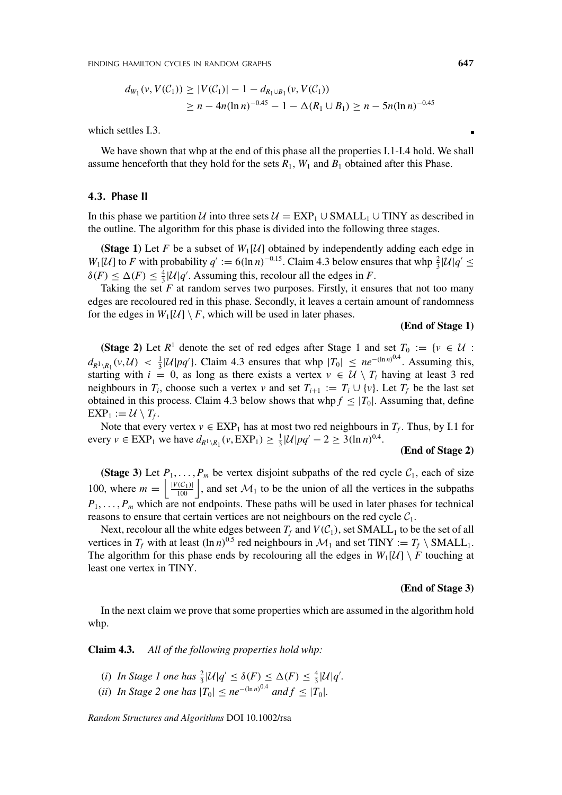FINDING HAMILTON CYCLES IN RANDOM GRAPHS **647**

$$
d_{W_1}(v, V(C_1)) \ge |V(C_1)| - 1 - d_{R_1 \cup B_1}(v, V(C_1))
$$
  
\n
$$
\ge n - 4n(\ln n)^{-0.45} - 1 - \Delta(R_1 \cup B_1) \ge n - 5n(\ln n)^{-0.45}
$$

which settles I.3.

We have shown that whp at the end of this phase all the properties I.1-I.4 hold. We shall assume henceforth that they hold for the sets  $R_1$ ,  $W_1$  and  $B_1$  obtained after this Phase.

## **4.3. Phase II**

In this phase we partition U into three sets  $U = EXP_1 \cup SMALL_1 \cup TINY$  as described in the outline. The algorithm for this phase is divided into the following three stages.

**(Stage 1)** Let *F* be a subset of  $W_1[\mathcal{U}]$  obtained by independently adding each edge in *W*<sub>1</sub>[U] to *F* with probability  $q' := 6(\ln n)^{-0.15}$ . Claim 4.3 below ensures that whp  $\frac{2}{3}$ |U| $q' \le$  $\delta(F) \leq \Delta(F) \leq \frac{4}{3} |\mathcal{U}| q'$ . Assuming this, recolour all the edges in *F*.

Taking the set  $F$  at random serves two purposes. Firstly, it ensures that not too many edges are recoloured red in this phase. Secondly, it leaves a certain amount of randomness for the edges in  $W_1[\mathcal{U}] \setminus F$ , which will be used in later phases.

#### **(End of Stage 1)**

**(Stage 2)** Let  $R^1$  denote the set of red edges after Stage 1 and set  $T_0 := \{v \in \mathcal{U} :$  $d_{R^1\setminus R_1}(v, \mathcal{U}) < \frac{1}{3}|\mathcal{U}|pq'$ . Claim 4.3 ensures that whp  $|T_0| \leq ne^{-(\ln n)^{0.4}}$ . Assuming this, starting with  $i = 0$ , as long as there exists a vertex  $v \in U \setminus T_i$  having at least 3 red neighbours in *T<sub>i</sub>*, choose such a vertex *v* and set  $T_{i+1} := T_i \cup \{v\}$ . Let  $T_f$  be the last set obtained in this process. Claim 4.3 below shows that whp  $f \leq |T_0|$ . Assuming that, define  $EXP_1 := U \setminus T_f.$ 

Note that every vertex  $v \in EXP_1$  has at most two red neighbours in  $T_f$ . Thus, by I.1 for every  $v \in EXP_1$  we have  $d_{R^1 \setminus R_1}(v, EXP_1) \ge \frac{1}{3} |\mathcal{U}| pq' - 2 \ge 3(\ln n)^{0.4}$ .

# **(End of Stage 2)**

**(Stage 3)** Let  $P_1, \ldots, P_m$  be vertex disjoint subpaths of the red cycle  $C_1$ , each of size 100, where  $m = \left| \frac{|V(C_1)|}{100} \right|$ , and set  $\mathcal{M}_1$  to be the union of all the vertices in the subpaths  $P_1, \ldots, P_m$  which are not endpoints. These paths will be used in later phases for technical reasons to ensure that certain vertices are not neighbours on the red cycle  $C_1$ .

Next, recolour all the white edges between  $T_f$  and  $V(C_1)$ , set SMALL<sub>1</sub> to be the set of all vertices in  $T_f$  with at least  $(\ln n)^{0.5}$  red neighbours in  $\mathcal{M}_1$  and set TINY :=  $T_f \setminus \text{SMALL}_1$ . The algorithm for this phase ends by recolouring all the edges in  $W_1[\mathcal{U}] \setminus F$  touching at least one vertex in TINY.

#### **(End of Stage 3)**

In the next claim we prove that some properties which are assumed in the algorithm hold whp.

**Claim 4.3.** *All of the following properties hold whp:*

- *(i) In Stage 1 one has*  $\frac{2}{3}$   $|\mathcal{U}|q' \leq \delta(F) \leq \Delta(F) \leq \frac{4}{3}$   $|\mathcal{U}|q'$ .
- *(ii) In Stage 2 one has*  $|T_0| \leq n e^{-(\ln n)^{0.4}}$  *and*  $f \leq |T_0|$ *.*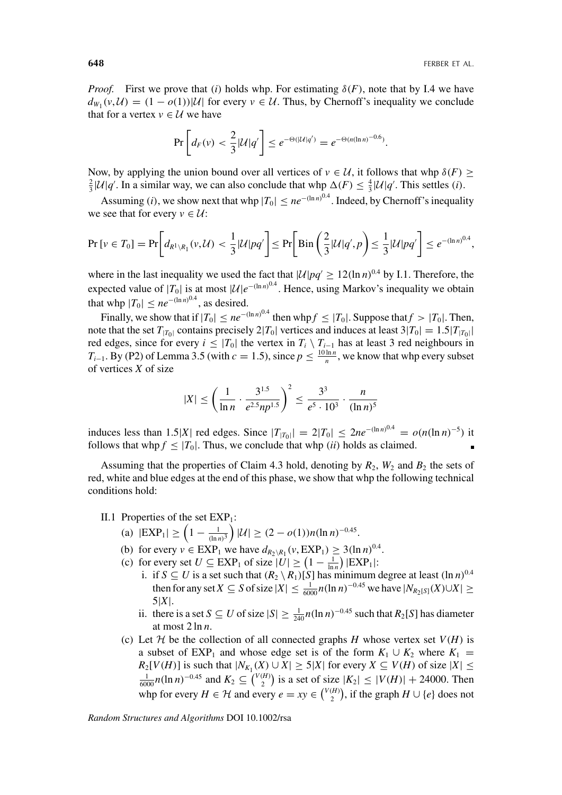*Proof.* First we prove that (*i*) holds whp. For estimating  $\delta(F)$ , note that by I.4 we have  $d_{W_1}(v, \mathcal{U}) = (1 - o(1))|\mathcal{U}|$  for every  $v \in \mathcal{U}$ . Thus, by Chernoff's inequality we conclude that for a vertex  $v \in U$  we have

$$
\Pr\left[d_F(v) < \frac{2}{3}|\mathcal{U}|q'\right] \leq e^{-\Theta(|\mathcal{U}|q')} = e^{-\Theta(n(\ln n)^{-0.6})}.
$$

Now, by applying the union bound over all vertices of  $v \in U$ , it follows that whp  $\delta(F)$  $\frac{2}{3}$  |U|*q'*. In a similar way, we can also conclude that whp  $\Delta(F) \leq \frac{4}{3}$ |U|*q'*. This settles *(i)*.

Assuming *(i)*, we show next that whp  $|T_0| \leq n e^{-(\ln n)^{0.4}}$ . Indeed, by Chernoff's inequality we see that for every  $v \in U$ :

$$
\Pr[v \in T_0] = \Pr\bigg[d_{R^1 \setminus R_1}(v, \mathcal{U}) < \frac{1}{3}|\mathcal{U}|pq'\bigg] \le \Pr\bigg[\mathrm{Bin}\left(\frac{2}{3}|\mathcal{U}|q', p\right) \le \frac{1}{3}|\mathcal{U}|pq'\bigg] \le e^{-(\ln n)^{0.4}},
$$

where in the last inequality we used the fact that  $|U|pq' \ge 12(\ln n)^{0.4}$  by I.1. Therefore, the expected value of  $|T_0|$  is at most  $|U|e^{-(\ln n)^{0.4}}$ . Hence, using Markov's inequality we obtain that whp  $|T_0| \leq n e^{-(\ln n)^{0.4}}$ , as desired.

Finally, we show that if  $|T_0| \leq n e^{-(\ln n)^{0.4}}$  then whp  $f \leq |T_0|$ . Suppose that  $f > |T_0|$ . Then, note that the set  $T_{|T_0|}$  contains precisely  $2|T_0|$  vertices and induces at least  $3|T_0| = 1.5|T_{|T_0|}|$ red edges, since for every  $i \leq |T_0|$  the vertex in  $T_i \setminus T_{i-1}$  has at least 3 red neighbours in *T<sub>i−1</sub>*. By (P2) of Lemma 3.5 (with  $c = 1.5$ ), since  $p \leq \frac{10 \ln n}{n}$ , we know that whp every subset of vertices *X* of size

$$
|X| \le \left(\frac{1}{\ln n} \cdot \frac{3^{1.5}}{e^{2.5} n p^{1.5}}\right)^2 \le \frac{3^3}{e^5 \cdot 10^3} \cdot \frac{n}{(\ln n)^5}
$$

induces less than 1.5|*X*| red edges. Since  $|T_{|T_0|}| = 2|T_0| \le 2ne^{-(\ln n)^{0.4}} = o(n(\ln n)^{-5})$  it follows that whp  $f \leq |T_0|$ . Thus, we conclude that whp *(ii)* holds as claimed.

Assuming that the properties of Claim 4.3 hold, denoting by  $R_2$ ,  $W_2$  and  $B_2$  the sets of red, white and blue edges at the end of this phase, we show that whp the following technical conditions hold:

- II.1 Properties of the set  $EXP<sub>1</sub>$ :
	- (a)  $|EXP_1| \geq \left(1 \frac{1}{(\ln n)^3}\right)|U| \geq (2 o(1))n(\ln n)^{-0.45}$ .
	- (b) for every  $v \in EXP_1$  we have  $d_{R_2 \setminus R_1}(v, EXP_1) \geq 3(\ln n)^{0.4}$ .
	- (c) for every set  $U \subseteq EXP_1$  of size  $|U| \geq \left(1 \frac{1}{\ln n}\right)|EXP_1|$ :
		- i. if *S* ⊆ *U* is a set such that  $(R_2 \setminus R_1)[S]$  has minimum degree at least  $(\ln n)^{0.4}$ then for any set *X* ⊆ *S* of size  $|X|$  ≤  $\frac{1}{6000}n(\ln n)^{-0.45}$  we have  $|N_{R_2[S]}(X) \cup X|$  ≥  $5|X|$ .
		- ii. there is a set *S*  $\subseteq U$  of size  $|S| \ge \frac{1}{240} n(\ln n)^{-0.45}$  such that  $R_2[S]$  has diameter at most 2 ln *n*.
	- (c) Let  $H$  be the collection of all connected graphs *H* whose vertex set  $V(H)$  is a subset of  $EXP_1$  and whose edge set is of the form  $K_1 \cup K_2$  where  $K_1 =$  $R_2[V(H)]$  is such that  $|N_{K_1}(X) \cup X| \geq 5|X|$  for every  $X \subseteq V(H)$  of size  $|X| \leq$  $\frac{1}{6000}n(\ln n)^{-0.45}$  and  $K_2 \subseteq {V(H) \choose 2}$  is a set of size  $|K_2| ≤ |V(H)| + 24000$ . Then whp for every *H* ∈ *H* and every *e* = *xy* ∈  $\binom{V(H)}{2}$ , if the graph *H* ∪ {*e*} does not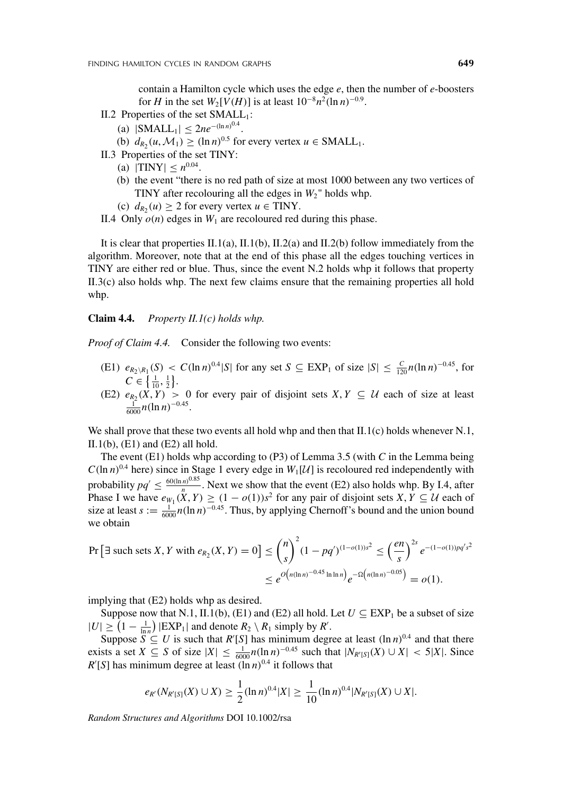contain a Hamilton cycle which uses the edge *e*, then the number of *e*-boosters for *H* in the set  $W_2[V(H)]$  is at least  $10^{-8}n^2(\ln n)^{-0.9}$ .

- II.2 Properties of the set  $SMALL_1$ :
	- (a)  $|SMALL_1| \leq 2ne^{-(\ln n)^{0.4}}$ .
	- (b)  $d_{R_2}(u, \mathcal{M}_1) \ge (\ln n)^{0.5}$  for every vertex  $u \in \text{SMALL}_1$ .
- II.3 Properties of the set TINY:
	- (a)  $|TINY| \leq n^{0.04}$ .
	- (b) the event "there is no red path of size at most 1000 between any two vertices of TINY after recolouring all the edges in  $W_2$ <sup>"</sup> holds whp.
	- (c)  $d_{R_2}(u) \geq 2$  for every vertex  $u \in \text{TINY}.$
- II.4 Only  $o(n)$  edges in  $W_1$  are recoloured red during this phase.

It is clear that properties  $II(1(a), II(1(b), II(2(a))$  and  $II(2(b))$  follow immediately from the algorithm. Moreover, note that at the end of this phase all the edges touching vertices in TINY are either red or blue. Thus, since the event N.2 holds whp it follows that property II.3(c) also holds whp. The next few claims ensure that the remaining properties all hold whp.

# **Claim 4.4.** *Property II.1(c) holds whp.*

*Proof of Claim 4.4.* Consider the following two events:

- (E1)  $e_{R_2\setminus R_1}(S) < C(\ln n)^{0.4}|S|$  for any set *S* ⊆ EXP<sub>1</sub> of size  $|S| \leq \frac{C}{120}n(\ln n)^{-0.45}$ , for  $C \in \left\{\frac{1}{10}, \frac{1}{2}\right\}.$
- (E2)  $e_{R_2}(X, Y) > 0$  for every pair of disjoint sets *X*, *Y* ⊆ *U* each of size at least  $\frac{1}{6000}n(\ln n)^{-0.45}$ .

We shall prove that these two events all hold whp and then that  $II(1(c))$  holds whenever N.1, II.1(b),  $(E1)$  and  $(E2)$  all hold.

The event (E1) holds whp according to (P3) of Lemma 3.5 (with *C* in the Lemma being  $C(\ln n)^{0.4}$  here) since in Stage 1 every edge in  $W_1[\mathcal{U}]$  is recoloured red independently with probability  $pq' \leq \frac{60(\ln n)^{0.85}}{n}$ . Next we show that the event (E2) also holds whp. By I.4, after Phase I we have  $e_{W_1}(X, Y) \ge (1 - o(1))s^2$  for any pair of disjoint sets  $X, Y \subseteq U$  each of size at least  $s := \frac{1}{6000} n(\ln n)^{-0.45}$ . Thus, by applying Chernoff's bound and the union bound we obtain

$$
\Pr\left[\exists \text{ such sets } X, Y \text{ with } e_{R_2}(X, Y) = 0\right] \le \binom{n}{s}^2 (1 - pq')^{(1 - o(1))s^2} \le \left(\frac{en}{s}\right)^{2s} e^{-(1 - o(1))pq's^2}
$$

$$
\le e^{O\left(n(\ln n)^{-0.45} \ln \ln n\right)} e^{-\Omega\left(n(\ln n)^{-0.05}\right)} = o(1).
$$

implying that (E2) holds whp as desired.

Suppose now that N.1, II.1(b), (E1) and (E2) all hold. Let  $U \subseteq EXP_1$  be a subset of size  $|U| \geq (1 - \frac{1}{\ln n}) |\text{EXP}_1|$  and denote  $R_2 \setminus R_1$  simply by R'.

Suppose  $\overline{S} \subseteq U$  is such that  $R'[S]$  has minimum degree at least  $(\ln n)^{0.4}$  and that there exists a set  $X \subseteq S$  of size  $|X| \leq \frac{1}{6000} n (\ln n)^{-0.45}$  such that  $|N_{R'[S]}(X) \cup X| < 5|X|$ . Since  $R'[S]$  has minimum degree at least  $(\ln n)^{0.4}$  it follows that

$$
e_{R'}(N_{R'[S]}(X) \cup X) \ge \frac{1}{2}(\ln n)^{0.4}|X| \ge \frac{1}{10}(\ln n)^{0.4}|N_{R'[S]}(X) \cup X|.
$$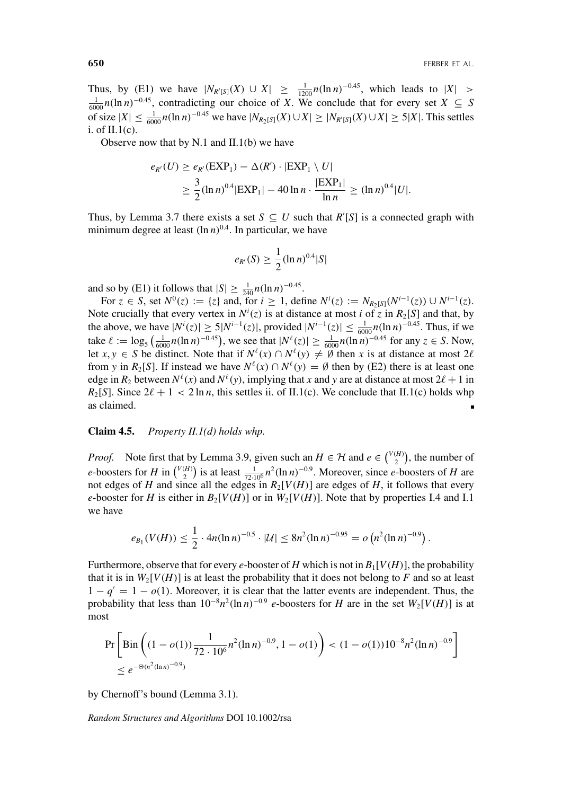Thus, by (E1) we have  $|N_{R'[S]}(X) \cup X| \ge \frac{1}{1200}n(\ln n)^{-0.45}$ , which leads to  $|X| >$  $\frac{1}{6000}$ *n*(ln *n*)<sup>−0.45</sup>, contradicting our choice of *X*. We conclude that for every set *X* ⊆ *S* of size  $|X| \le \frac{1}{6000} n(\ln n)^{-0.45}$  we have  $|N_{R_2[S]}(X) \cup X| \ge |N_{R'[S]}(X) \cup X| \ge 5|X|$ . This settles i. of  $II.1(c)$ .

Observe now that by  $N.1$  and  $II(1(b))$  we have

$$
e_{R'}(U) \ge e_{R'}(\text{EXP}_1) - \Delta(R') \cdot |\text{EXP}_1 \setminus U|
$$
  
 
$$
\ge \frac{3}{2}(\ln n)^{0.4} |\text{EXP}_1| - 40 \ln n \cdot \frac{|\text{EXP}_1|}{\ln n} \ge (\ln n)^{0.4} |U|.
$$

Thus, by Lemma 3.7 there exists a set  $S \subseteq U$  such that  $R'[S]$  is a connected graph with minimum degree at least  $(ln n)^{0.4}$ . In particular, we have

$$
e_{R'}(S) \ge \frac{1}{2} (\ln n)^{0.4} |S|
$$

and so by (E1) it follows that  $|S| \ge \frac{1}{240} n(\ln n)^{-0.45}$ .

For  $z \in S$ , set  $N^0(z) := \{z\}$  and, for  $i \ge 1$ , define  $N^i(z) := N_{R_2[S]}(N^{i-1}(z)) \cup N^{i-1}(z)$ . Note crucially that every vertex in  $N^i(z)$  is at distance at most *i* of *z* in  $R_2[S]$  and that, by the above, we have  $|N^{i}(z)|$  ≥ 5 $|N^{i-1}(z)|$ , provided  $|N^{i-1}(z)|$  ≤  $\frac{1}{6000}n(\ln n)^{-0.45}$ . Thus, if we take  $\ell := \log_5 \left( \frac{1}{6000} n(\ln n)^{-0.45} \right)$ , we see that  $|N^{\ell}(z)| \ge \frac{1}{6000} n(\ln n)^{-0.45}$  for any *z* ∈ *S*. Now, let  $x, y \in S$  be distinct. Note that if  $N^{\ell}(x) \cap N^{\ell}(y) \neq \emptyset$  then *x* is at distance at most 2 $\ell$ from *y* in  $R_2[S]$ . If instead we have  $N^{\ell}(x) \cap N^{\ell}(y) = \emptyset$  then by (E2) there is at least one edge in  $R_2$  between  $N^{\ell}(x)$  and  $N^{\ell}(y)$ , implying that *x* and *y* are at distance at most  $2\ell + 1$  in  $R_2[S]$ . Since  $2\ell + 1 < 2 \ln n$ , this settles ii. of II.1(c). We conclude that II.1(c) holds whp as claimed.

#### **Claim 4.5.** *Property II.1(d) holds whp.*

*Proof.* Note first that by Lemma 3.9, given such an  $H \in \mathcal{H}$  and  $e \in {V(H) \choose 2}$ , the number of *e*-boosters for *H* in  $\binom{V(H)}{2}$  is at least  $\frac{1}{72 \cdot 10^6} n^2 (\ln n)^{-0.9}$ . Moreover, since *e*-boosters of *H* are not edges of *H* and since all the edges in  $R_2[V(H)]$  are edges of *H*, it follows that every *e*-booster for *H* is either in  $B_2[V(H)]$  or in  $W_2[V(H)]$ . Note that by properties I.4 and I.1 we have

$$
e_{B_1}(V(H)) \leq \frac{1}{2} \cdot 4n(\ln n)^{-0.5} \cdot |\mathcal{U}| \leq 8n^2(\ln n)^{-0.95} = o\left(n^2(\ln n)^{-0.9}\right).
$$

Furthermore, observe that for every *e*-booster of *H* which is not in  $B_1[V(H)]$ , the probability that it is in  $W_2[V(H)]$  is at least the probability that it does not belong to F and so at least  $1 - q' = 1 - o(1)$ . Moreover, it is clear that the latter events are independent. Thus, the probability that less than  $10^{-8}n^2(\ln n)^{-0.9}$  *e*-boosters for *H* are in the set  $W_2[V(H)]$  is at most

$$
\Pr\left[\text{Bin}\left((1 - o(1))\frac{1}{72 \cdot 10^6}n^2(\ln n)^{-0.9}, 1 - o(1)\right) < (1 - o(1))10^{-8}n^2(\ln n)^{-0.9}\right] \le e^{-\Theta(n^2(\ln n)^{-0.9})}
$$

by Chernoff's bound (Lemma 3.1).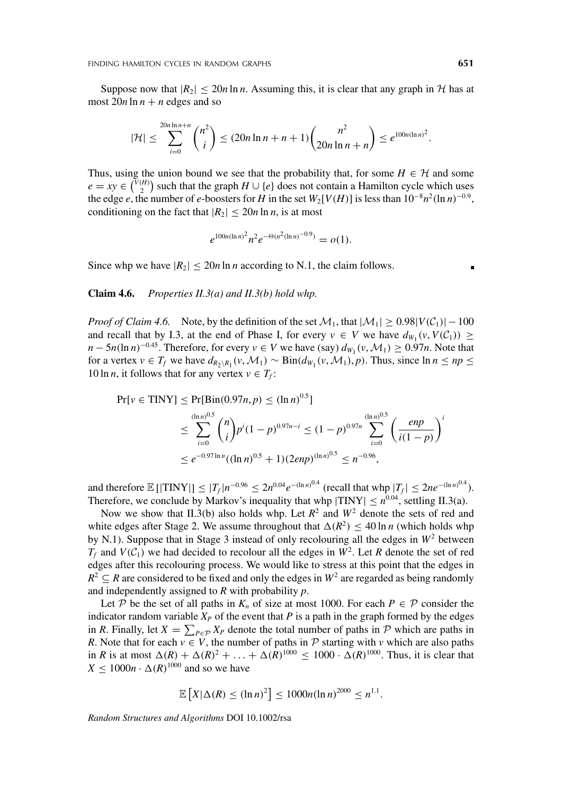Suppose now that  $|R_2| \leq 20n \ln n$ . Assuming this, it is clear that any graph in H has at most  $20n \ln n + n$  edges and so

$$
|\mathcal{H}| \leq \sum_{i=0}^{20n \ln n + n} {n^2 \choose i} \leq (20n \ln n + n + 1) {n^2 \choose 20n \ln n + n} \leq e^{100n(\ln n)^2}.
$$

Thus, using the union bound we see that the probability that, for some  $H \in \mathcal{H}$  and some *e* = *xy* ∈  $\binom{V(H)}{2}$  such that the graph *H* ∪ {*e*} does not contain a Hamilton cycle which uses the edge *e*, the number of *e*-boosters for *H* in the set  $W_2[V(H)]$  is less than  $10^{-8}n^2(\ln n)^{-0.9}$ , conditioning on the fact that  $|R_2| \leq 20n \ln n$ , is at most

$$
e^{100n(\ln n)^2}n^2e^{-\Theta(n^2(\ln n)^{-0.9})}=o(1).
$$

Since whp we have  $|R_2| \leq 20n \ln n$  according to N.1, the claim follows.

#### **Claim 4.6.** *Properties II.3(a) and II.3(b) hold whp.*

*Proof of Claim 4.6.* Note, by the definition of the set  $\mathcal{M}_1$ , that  $|\mathcal{M}_1| \geq 0.98|V(\mathcal{C}_1)| - 100$ and recall that by I.3, at the end of Phase I, for every  $v \in V$  we have  $d_{W_1}(v, V(\mathcal{C}_1)) \ge$ *n* − 5*n*(ln *n*)<sup>−0.45</sup>. Therefore, for every *v* ∈ *V* we have (say)  $d_{W_1}(v, M_1) \ge 0.97n$ . Note that for a vertex  $v \in T_f$  we have  $d_{R_2 \setminus R_1}(v, \mathcal{M}_1) \sim Bin(d_{W_1}(v, \mathcal{M}_1), p)$ . Thus, since  $\ln n \le np \le$ 10 ln *n*, it follows that for any vertex  $v \in T_f$ :

$$
\Pr[v \in TINY] \le \Pr[Bin(0.97n, p) \le (\ln n)^{0.5}]
$$
  
\n
$$
\le \sum_{i=0}^{(\ln n)^{0.5}} {n \choose i} p^i (1-p)^{0.97n-i} \le (1-p)^{0.97n} \sum_{i=0}^{(\ln n)^{0.5}} \left(\frac{enp}{i(1-p)}\right)^i
$$
  
\n
$$
\le e^{-0.97 \ln n} ((\ln n)^{0.5} + 1)(2enp)^{(\ln n)^{0.5}} \le n^{-0.96},
$$

 $\sim$ 

and therefore  $\mathbb{E}[|TINY|] \le |T_f|n^{-0.96} \le 2n^{0.04}e^{-(\ln n)^{0.4}}$  (recall that whp  $|T_f| \le 2ne^{-(\ln n)^{0.4}}$ ). Therefore, we conclude by Markov's inequality that whp  $|TINY| \le n^{0.04}$ , settling II.3(a).

Now we show that II.3(b) also holds whp. Let  $R^2$  and  $W^2$  denote the sets of red and white edges after Stage 2. We assume throughout that  $\Delta(R^2)$  < 40 ln *n* (which holds whp by N.1). Suppose that in Stage 3 instead of only recolouring all the edges in  $W^2$  between  $T_f$  and  $V(C_1)$  we had decided to recolour all the edges in  $W^2$ . Let *R* denote the set of red edges after this recolouring process. We would like to stress at this point that the edges in  $R^2 \subseteq R$  are considered to be fixed and only the edges in  $W^2$  are regarded as being randomly and independently assigned to *R* with probability *p*.

Let P be the set of all paths in  $K_n$  of size at most 1000. For each  $P \in \mathcal{P}$  consider the indicator random variable  $X_P$  of the event that  $P$  is a path in the graph formed by the edges in *R*. Finally, let  $X = \sum_{P \in \mathcal{P}} X_P$  denote the total number of paths in  $\mathcal{P}$  which are paths in *R*. Note that for each  $v \in V$ , the number of paths in  $P$  starting with *v* which are also paths in *R* is at most  $\Delta(R) + \Delta(R)^2 + \ldots + \Delta(R)^{1000} \le 1000 \cdot \Delta(R)^{1000}$ . Thus, it is clear that  $X \le 1000n \cdot \Delta(R)^{1000}$  and so we have

$$
\mathbb{E}\left[X|\Delta(R)\leq(\ln n)^2\right]\leq 1000n(\ln n)^{2000}\leq n^{1.1}.
$$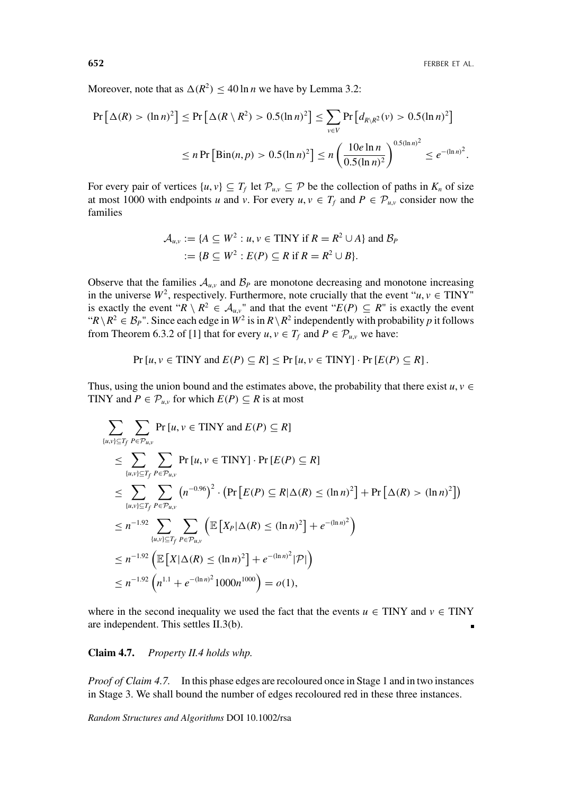Moreover, note that as  $\Delta(R^2) \leq 40 \ln n$  we have by Lemma 3.2:

$$
\Pr\left[\Delta(R) > (\ln n)^2\right] \le \Pr\left[\Delta(R \setminus R^2) > 0.5(\ln n)^2\right] \le \sum_{v \in V} \Pr\left[d_{R \setminus R^2}(v) > 0.5(\ln n)^2\right]
$$
  

$$
\le n \Pr\left[\text{Bin}(n, p) > 0.5(\ln n)^2\right] \le n \left(\frac{10e \ln n}{0.5(\ln n)^2}\right)^{0.5(\ln n)^2} \le e^{-(\ln n)^2}.
$$

For every pair of vertices  $\{u, v\} \subseteq T_f$  let  $\mathcal{P}_{uv} \subseteq \mathcal{P}$  be the collection of paths in  $K_n$  of size at most 1000 with endpoints *u* and *v*. For every  $u, v \in T_f$  and  $P \in \mathcal{P}_{u,v}$  consider now the families

$$
\mathcal{A}_{u,v} := \{ A \subseteq W^2 : u, v \in \text{TINY if } R = R^2 \cup A \} \text{ and } \mathcal{B}_P
$$
  
 := \{ B \subseteq W^2 : E(P) \subseteq R \text{ if } R = R^2 \cup B \}.

Observe that the families  $A_{u,v}$  and  $B_p$  are monotone decreasing and monotone increasing in the universe  $W^2$ , respectively. Furthermore, note crucially that the event " $u, v \in TINY$ " is exactly the event " $R \setminus R^2 \in A_{u,v}$ " and that the event " $E(P) \subseteq R$ " is exactly the event " $R \setminus R^2 \in \mathcal{B}_P$ ". Since each edge in  $W^2$  is in  $R \setminus R^2$  independently with probability p it follows from Theorem 6.3.2 of [1] that for every  $u, v \in T_f$  and  $P \in \mathcal{P}_{u,v}$  we have:

$$
Pr[u, v \in TINY \text{ and } E(P) \subseteq R] \leq Pr[u, v \in TINY] \cdot Pr[E(P) \subseteq R].
$$

Thus, using the union bound and the estimates above, the probability that there exist  $u, v \in$ TINY and  $P \in \mathcal{P}_{u,v}$  for which  $E(P) \subseteq R$  is at most

$$
\sum_{\{u,v\} \subseteq T_f} \sum_{P \in \mathcal{P}_{u,v}} \Pr [u, v \in TINY \text{ and } E(P) \subseteq R]
$$
\n
$$
\leq \sum_{\{u,v\} \subseteq T_f} \sum_{P \in \mathcal{P}_{u,v}} \Pr [u, v \in TINY] \cdot \Pr [E(P) \subseteq R]
$$
\n
$$
\leq \sum_{\{u,v\} \subseteq T_f} \sum_{P \in \mathcal{P}_{u,v}} \left( n^{-0.96} \right)^2 \cdot \left( \Pr [E(P) \subseteq R | \Delta(R) \leq (\ln n)^2 \right) + \Pr \left[ \Delta(R) > (\ln n)^2 \right])
$$
\n
$$
\leq n^{-1.92} \sum_{\{u,v\} \subseteq T_f} \sum_{P \in \mathcal{P}_{u,v}} \left( \mathbb{E} \left[ X_P | \Delta(R) \leq (\ln n)^2 \right] + e^{-(\ln n)^2} \right)
$$
\n
$$
\leq n^{-1.92} \left( \mathbb{E} \left[ X | \Delta(R) \leq (\ln n)^2 \right] + e^{-(\ln n)^2} |P| \right)
$$
\n
$$
\leq n^{-1.92} \left( n^{1.1} + e^{-(\ln n)^2} 1000n^{1000} \right) = o(1),
$$

where in the second inequality we used the fact that the events  $u \in TINY$  and  $v \in TINY$ are independent. This settles II.3(b).

**Claim 4.7.** *Property II.4 holds whp.*

*Proof of Claim 4.7.* In this phase edges are recoloured once in Stage 1 and in two instances in Stage 3. We shall bound the number of edges recoloured red in these three instances.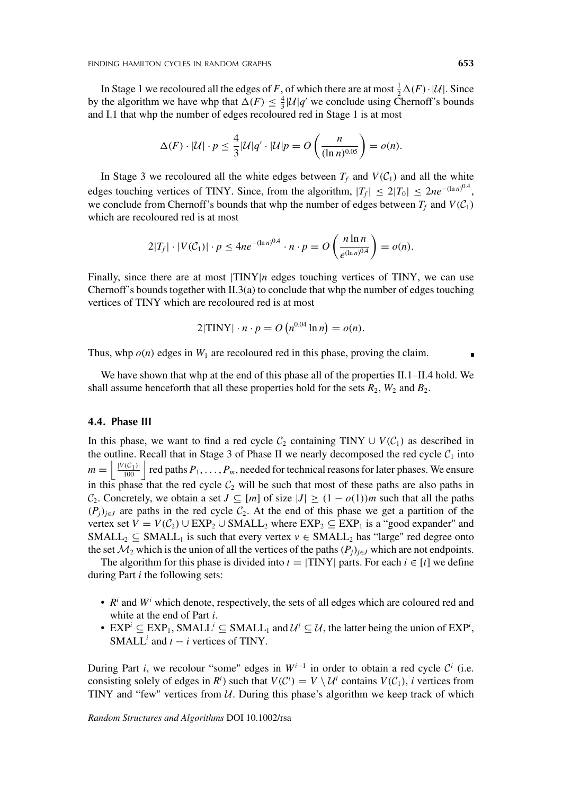In Stage 1 we recoloured all the edges of *F*, of which there are at most  $\frac{1}{2}\Delta(F) \cdot |\mathcal{U}|$ . Since by the algorithm we have whp that  $\Delta(F) \leq \frac{4}{3} |\mathcal{U}| q'$  we conclude using Chernoff's bounds and I.1 that whp the number of edges recoloured red in Stage 1 is at most

$$
\Delta(F) \cdot |\mathcal{U}| \cdot p \le \frac{4}{3} |\mathcal{U}| q' \cdot |\mathcal{U}| p = O\left(\frac{n}{(\ln n)^{0.05}}\right) = o(n).
$$

In Stage 3 we recoloured all the white edges between  $T_f$  and  $V(C_1)$  and all the white edges touching vertices of TINY. Since, from the algorithm,  $|T_f| \le 2|T_0| \le 2ne^{-(\ln n)^{0.4}}$ , we conclude from Chernoff's bounds that whp the number of edges between  $T_f$  and  $V(C_1)$ which are recoloured red is at most

$$
2|T_f|\cdot |V(\mathcal{C}_1)|\cdot p\leq 4n e^{-(\ln n)^{0.4}}\cdot n\cdot p=O\left(\frac{n\ln n}{e^{(\ln n)^{0.4}}}\right)=o(n).
$$

Finally, since there are at most  $|TINY|n$  edges touching vertices of TINY, we can use Chernoff's bounds together with  $II(3(a))$  to conclude that whp the number of edges touching vertices of TINY which are recoloured red is at most

$$
2|\text{TINY}| \cdot n \cdot p = O(n^{0.04} \ln n) = o(n).
$$

Thus, whp  $o(n)$  edges in  $W_1$  are recoloured red in this phase, proving the claim.

We have shown that whp at the end of this phase all of the properties II.1–II.4 hold. We shall assume henceforth that all these properties hold for the sets  $R_2$ ,  $W_2$  and  $B_2$ .

## **4.4. Phase III**

In this phase, we want to find a red cycle  $C_2$  containing TINY  $\cup$  *V*( $C_1$ ) as described in the outline. Recall that in Stage 3 of Phase II we nearly decomposed the red cycle  $C_1$  into  $m = \left| \frac{|V(C_1)|}{100} \right|$  red paths  $P_1, \ldots, P_m$ , needed for technical reasons for later phases. We ensure in this phase that the red cycle  $C_2$  will be such that most of these paths are also paths in C<sub>2</sub>. Concretely, we obtain a set  $J \subseteq [m]$  of size  $|J| \ge (1 - o(1))m$  such that all the paths  $(P_j)_{j\in J}$  are paths in the red cycle  $C_2$ . At the end of this phase we get a partition of the vertex set  $V = V(C_2) \cup EXP_2 \cup SMALL_2$  where  $EXP_2 \subseteq EXP_1$  is a "good expander" and SMALL<sub>2</sub>  $\subseteq$  SMALL<sub>1</sub> is such that every vertex  $v \in SMALL_2$  has "large" red degree onto the set  $\mathcal{M}_2$  which is the union of all the vertices of the paths  $(P_i)_{i \in J}$  which are not endpoints.

The algorithm for this phase is divided into  $t = |TINY|$  parts. For each  $i \in [t]$  we define during Part *i* the following sets:

- *Ri* and *Wi* which denote, respectively, the sets of all edges which are coloured red and white at the end of Part *i*.
- $EXP<sup>i</sup> ⊆ EXP<sub>1</sub>$ , SMALL<sup>*i*</sup> ⊆ SMALL<sub>1</sub> and  $\mathcal{U}<sup>i</sup> ⊆ \mathcal{U}$ , the latter being the union of EXP<sup>*i*</sup>, SMALL<sup>*i*</sup> and  $t - i$  vertices of TINY.

During Part *i*, we recolour "some" edges in  $W^{i-1}$  in order to obtain a red cycle  $\mathcal{C}^i$  (i.e. consisting solely of edges in  $R^i$ ) such that  $V(C^i) = V \setminus U^i$  contains  $V(C_1)$ , *i* vertices from TINY and "few" vertices from  $U$ . During this phase's algorithm we keep track of which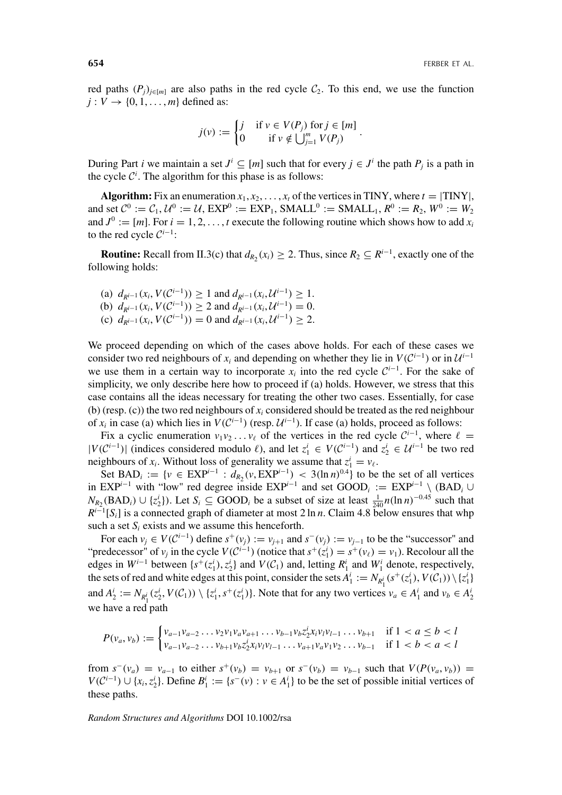red paths  $(P_j)_{j \in [m]}$  are also paths in the red cycle  $C_2$ . To this end, we use the function  $j: V \rightarrow \{0, 1, \ldots, m\}$  defined as:

$$
j(v) := \begin{cases} j & \text{if } v \in V(P_j) \text{ for } j \in [m] \\ 0 & \text{if } v \notin \bigcup_{j=1}^m V(P_j) \end{cases}.
$$

During Part *i* we maintain a set  $J^i \subseteq [m]$  such that for every  $j \in J^i$  the path  $P_j$  is a path in the cycle  $C<sup>i</sup>$ . The algorithm for this phase is as follows:

**Algorithm:** Fix an enumeration  $x_1, x_2, \ldots, x_t$  of the vertices in TINY, where  $t = |TINY|$ , and set  $C^0 := C_1, U^0 := U$ ,  $EXP^0 := EXP_1$ ,  $SMALL^0 := SMALL_1, R^0 := R_2, W^0 := W_2$ and  $J^0 := [m]$ . For  $i = 1, 2, \ldots, t$  execute the following routine which shows how to add  $x_i$ to the red cycle <sup>C</sup>*<sup>i</sup>*<sup>−</sup>1:

**Routine:** Recall from II.3(c) that  $d_{R_2}(x_i) \geq 2$ . Thus, since  $R_2 \subseteq R^{i-1}$ , exactly one of the following holds:

(a)  $d_{R^{i-1}}(x_i, V(\mathcal{C}^{i-1})) \geq 1$  and  $d_{R^{i-1}}(x_i, \mathcal{U}^{i-1}) \geq 1$ . (b)  $d_{R^{i-1}}(x_i, V(\mathcal{C}^{i-1})) \geq 2$  and  $d_{R^{i-1}}(x_i, \mathcal{U}^{i-1}) = 0$ . (c)  $d_{R^{i-1}}(x_i, V(\mathcal{C}^{i-1})) = 0$  and  $d_{R^{i-1}}(x_i, \mathcal{U}^{i-1}) \geq 2$ .

We proceed depending on which of the cases above holds. For each of these cases we consider two red neighbours of  $x_i$  and depending on whether they lie in  $V(C^{i-1})$  or in  $\mathcal{U}^{i-1}$ we use them in a certain way to incorporate  $x_i$  into the red cycle  $\mathcal{C}^{i-1}$ . For the sake of simplicity, we only describe here how to proceed if (a) holds. However, we stress that this case contains all the ideas necessary for treating the other two cases. Essentially, for case (b) (resp.  $(c)$ ) the two red neighbours of  $x_i$  considered should be treated as the red neighbour of  $x_i$  in case (a) which lies in  $V(C^{i-1})$  (resp.  $U^{i-1}$ ). If case (a) holds, proceed as follows:

Fix a cyclic enumeration  $v_1v_2 \ldots v_\ell$  of the vertices in the red cycle  $C^{i-1}$ , where  $\ell =$  $|V(C^{i-1})|$  (indices considered modulo  $\ell$ ), and let  $z_1^i$  ∈  $V(C^{i-1})$  and  $z_2^i$  ∈  $\mathcal{U}^{i-1}$  be two red neighbours of  $x_i$ . Without loss of generality we assume that  $z_1^i = v_\ell$ .

Set BAD<sub>*i*</sub> := {*v* ∈ EXP<sup>*i*−1</sup> :  $d_{R_2}(v, EXP^{i-1})$  < 3(ln *n*)<sup>0.4</sup>} to be the set of all vertices in EXP<sup>*i*−1</sup> with "low" red degree inside EXP<sup>*i*−1</sup> and set GOOD<sub>*i*</sub> := EXP<sup>*i*−1</sup> \ (BAD<sub>*i*</sub> ∪ *N<sub>R2</sub>*(BAD<sub>*i*</sub>)</sub> ∪ { $z_2$ <sup>*i*</sup>}). Let *S<sub>i</sub>* ⊆ GOOD<sub>*i*</sub> be a subset of size at least  $\frac{1}{240}n(\ln n)^{-0.45}$  such that  $R^{i-1}[S_i]$  is a connected graph of diameter at most 2 ln *n*. Claim 4.8 below ensures that whp such a set  $S_i$  exists and we assume this henceforth.

For each  $v_i \in V(\mathcal{C}^{i-1})$  define  $s^+(v_j) := v_{j+1}$  and  $s^-(v_j) := v_{j-1}$  to be the "successor" and "predecessor" of *v<sub>j</sub>* in the cycle  $V(C^{i-1})$  (notice that  $s^+(z_1^i) = s^+(v_i) = v_1$ ). Recolour all the edges in  $W^{i-1}$  between  $\{s^+(z_1^i), z_2^i\}$  and  $V(C_1)$  and, letting  $R_1^i$  and  $W_1^i$  denote, respectively, the sets of red and white edges at this point, consider the sets  $A_1^i := N_{R_1^i}(s^+(z_1^i), V(C_1)) \setminus \{z_1^i\}$ and  $A_2^i := N_{R_1^i}(z_2^i, V(C_1)) \setminus \{z_1^i, s^+(z_1^i)\}$ . Note that for any two vertices  $v_a \in A_1^i$  and  $v_b \in A_2^i$ we have a red path

$$
P(v_a, v_b) := \begin{cases} v_{a-1}v_{a-2} \dots v_2v_1v_a v_{a+1} \dots v_{b-1}v_b z_2^i x_i v_i v_{l-1} \dots v_{b+1} & \text{if } 1 < a \le b < l \\ v_{a-1}v_{a-2} \dots v_{b+1}v_b z_2^i x_i v_i v_{l-1} \dots v_{a+1} v_a v_1 v_2 \dots v_{b-1} & \text{if } 1 < b < a < l \end{cases}
$$

from  $s^-(v_a) = v_{a-1}$  to either  $s^+(v_b) = v_{b+1}$  or  $s^-(v_b) = v_{b-1}$  such that  $V(P(v_a, v_b)) =$ *V*<sup>(C<sup>*i*-1</sup>) ∪ { $x_i, z_2^i$ }. Define  $B_1^i := \{s^-(v) : v \in A_1^i\}$  to be the set of possible initial vertices of</sup> these paths.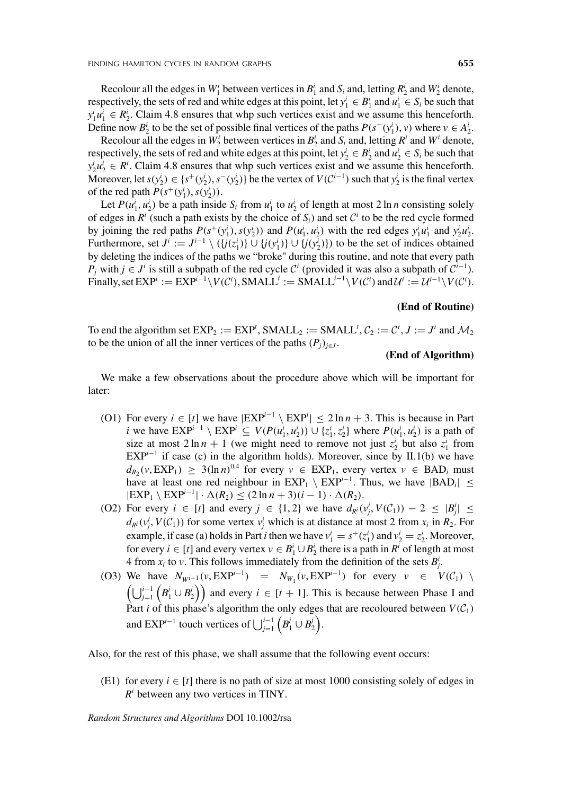Recolour all the edges in  $W_1^i$  between vertices in  $B_1^i$  and  $S_i$  and, letting  $R_2^i$  and  $W_2^i$  denote, respectively, the sets of red and white edges at this point, let  $y_1^i \in B_1^i$  and  $u_1^i \in S_i$  be such that  $y_1^i u_1^i \in R_2^i$ . Claim 4.8 ensures that whp such vertices exist and we assume this henceforth. Define now  $B_2^i$  to be the set of possible final vertices of the paths  $P(s^+(y_1^i), v)$  where  $v \in A_2^i$ .

Recolour all the edges in  $W_2^i$  between vertices in  $B_2^i$  and  $S_i$  and, letting  $R^i$  and  $W^i$  denote, respectively, the sets of red and white edges at this point, let  $y_2^i \in B_2^i$  and  $u_2^i \in S_i$  be such that  $y_2^i u_2^i \in R^i$ . Claim 4.8 ensures that whp such vertices exist and we assume this henceforth. Moreover, let  $s(y_2^i) \in \{s^+(y_2^i), s^-(y_2^i)\}\$  be the vertex of  $V(\mathcal{C}^{i-1})$  such that  $y_2^i$  is the final vertex of the red path  $P(s^+(y_1^i), s(y_2^i))$ .

Let  $P(u_1^i, u_2^i)$  be a path inside  $S_i$  from  $u_1^i$  to  $u_2^i$  of length at most 2 ln *n* consisting solely of edges in  $R^i$  (such a path exists by the choice of  $S_i$ ) and set  $C^i$  to be the red cycle formed by joining the red paths  $P(s^+(y_1^i), s(y_2^i))$  and  $P(u_1^i, u_2^i)$  with the red edges  $y_1^i u_1^i$  and  $y_2^i u_2^i$ . Furthermore, set  $J^i := J^{i-1} \setminus (\{j(z_1^i)\} \cup \{j(y_1^i)\} \cup \{j(y_2^i)\})$  to be the set of indices obtained by deleting the indices of the paths we "broke" during this routine, and note that every path *P<sub>i</sub>* with  $j \in J^i$  is still a subpath of the red cycle  $C^i$  (provided it was also a subpath of  $C^{i-1}$ ). Finally, set  $\text{EXP}^i := \text{EXP}^{i-1} \setminus V(\mathcal{C}^i)$ ,  $\text{SMALL}^i := \text{SMALL}^{i-1} \setminus V(\mathcal{C}^i)$  and  $\mathcal{U}^i := \mathcal{U}^{i-1} \setminus V(\mathcal{C}^i)$ .

#### **(End of Routine)**

To end the algorithm set  $EXP_2 := EXP^t$ ,  $SMALL_2 := SMALL^t$ ,  $C_2 := C^t$ ,  $J := J^t$  and  $M_2$ to be the union of all the inner vertices of the paths  $(P_j)_{j \in J}$ .

# **(End of Algorithm)**

We make a few observations about the procedure above which will be important for later:

- (O1) For every  $i \in [t]$  we have  $|EXP^{i-1} \setminus EXP^{i}| \leq 2 \ln n + 3$ . This is because in Part *i* we have  $\text{EXP}^{i-1} \setminus \text{EXP}^i \subseteq V(P(u_1^i, u_2^i)) \cup \{z_1^i, z_2^i\}$  where  $P(u_1^i, u_2^i)$  is a path of size at most  $2 \ln n + 1$  (we might need to remove not just  $z_2^i$  but also  $z_1^i$  from  $EXP<sup>i-1</sup>$  if case (c) in the algorithm holds). Moreover, since by II.1(b) we have  $d_{R_2}(v, EXP_1) \geq 3(\ln n)^{0.4}$  for every  $v \in EXP_1$ , every vertex  $v \in BAD_i$  must have at least one red neighbour in  $EXP_1 \setminus EXP^{i-1}$ . Thus, we have  $|BAD_i| \leq$  $|EXP_1 \setminus EXP^{i-1}| \cdot \Delta(R_2) \le (2 \ln n + 3)(i - 1) \cdot \Delta(R_2)$ .
- (O2) For every  $i \in [t]$  and every  $j \in \{1, 2\}$  we have  $d_{R^i}(v_j^i, V(\mathcal{C}_1)) 2 \leq |B_j^i| \leq$  $d_{R^i}(v_j^i, V(C_1))$  for some vertex  $v_j^i$  which is at distance at most 2 from  $x_i$  in  $R_2$ . For example, if case (a) holds in Part *i* then we have  $v_1^i = s^+(z_1^i)$  and  $v_2^i = z_2^i$ . Moreover, for every *i* ∈ [*t*] and every vertex  $v \in B_1^i \cup B_2^i$  there is a path in  $R^i$  of length at most 4 from  $x_i$  to *v*. This follows immediately from the definition of the sets  $B^i_j$ .
- (O3) We have  $N_{W^{i-1}}(v, EXP^{i-1}) = N_{W_1}(v, EXP^{i-1})$  for every  $v \in V(C_1)$  $\left(\bigcup_{j=1}^{i-1} \left(B_1^j \cup B_2^j\right)\right)$  and every  $i \in [t+1]$ . This is because between Phase I and Part *i* of this phase's algorithm the only edges that are recoloured between  $V(C_1)$ and  $\text{EXP}^{i-1}$  touch vertices of  $\bigcup_{j=1}^{i-1} \left( B_1^j \cup B_2^j \right)$ .

Also, for the rest of this phase, we shall assume that the following event occurs:

(E1) for every  $i \in [t]$  there is no path of size at most 1000 consisting solely of edges in  $R<sup>i</sup>$  between any two vertices in TINY.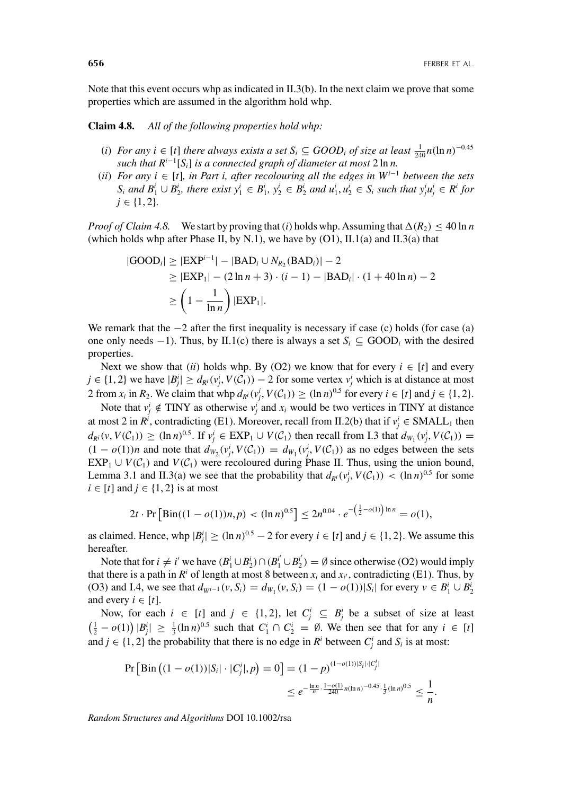Note that this event occurs whp as indicated in II.3(b). In the next claim we prove that some properties which are assumed in the algorithm hold whp.

**Claim 4.8.** *All of the following properties hold whp:*

- *(i) For any i* ∈ [*t*] *there always exists a set*  $S_i$  ⊆ *GOOD<sub>i</sub> of size at least*  $\frac{1}{240}n(\ln n)^{-0.45}$ *such that*  $R^{i-1}[S_i]$  *is a connected graph of diameter at most* 2 ln *n*.
- *(ii) For any i* ∈ [*t*]*, in Part i, after recolouring all the edges in Wi*<sup>−</sup><sup>1</sup> *between the sets*  $S_i$  and  $B_1^i \cup B_2^i$ , there exist  $y_1^i \in B_1^i$ ,  $y_2^i \in B_2^i$  and  $u_1^i, u_2^i \in S_i$  such that  $y_j^i u_j^i \in R^i$  for  $j \in \{1, 2\}.$

*Proof of Claim 4.8.* We start by proving that *(i)* holds whp. Assuming that  $\Delta(R_2) \leq 40 \ln n$ (which holds whp after Phase II, by N.1), we have by  $(O1)$ , II.1(a) and II.3(a) that

$$
|\text{GOOD}_i| \ge |\text{EXP}^{i-1}| - |\text{BAD}_i \cup N_{R_2}(\text{BAD}_i)| - 2
$$
  
\n
$$
\ge |\text{EXP}_1| - (2 \ln n + 3) \cdot (i - 1) - |\text{BAD}_i| \cdot (1 + 40 \ln n) - 2
$$
  
\n
$$
\ge \left(1 - \frac{1}{\ln n}\right) |\text{EXP}_1|.
$$

We remark that the  $-2$  after the first inequality is necessary if case (c) holds (for case (a) one only needs −1). Thus, by II.1(c) there is always a set  $S_i$   $\subseteq$  GOOD<sub>i</sub> with the desired properties.

Next we show that *(ii)* holds whp. By (O2) we know that for every  $i \in [t]$  and every  $j \in \{1, 2\}$  we have  $|B_j^i| \ge d_{R^i}(v_j^i, V(C_1)) - 2$  for some vertex  $v_j^i$  which is at distance at most 2 from  $x_i$  in  $R_2$ . We claim that whp  $d_{R^i}(v_j^i, V(\mathcal{C}_1)) \ge (\ln n)^{0.5}$  for every  $i \in [t]$  and  $j \in \{1, 2\}$ .

Note that  $v_j^i \notin \text{TINY}$  as otherwise  $v_j^i$  and  $x_i$  would be two vertices in TINY at distance at most 2 in  $R^i$ , contradicting (E1). Moreover, recall from II.2(b) that if  $v_j^i \in SMALL_1$  then  $d_{R^i}(v, V(\mathcal{C}_1)) \geq (\ln n)^{0.5}$ . If  $v_j^i \in EXP_1 \cup V(\mathcal{C}_1)$  then recall from I.3 that  $d_{W_1}(v_j^i, V(\mathcal{C}_1)) =$  $(1 - o(1))n$  and note that  $d_{W_2}(v_j^i, V(C_1)) = d_{W_1}(v_j^i, V(C_1))$  as no edges between the sets  $EXP_1 \cup V(C_1)$  and  $V(C_1)$  were recoloured during Phase II. Thus, using the union bound, Lemma 3.1 and II.3(a) we see that the probability that  $d_{R_i}(v_j^i, V(C_1)) < (\ln n)^{0.5}$  for some  $i \in [t]$  and  $j \in \{1, 2\}$  is at most

$$
2t \cdot \Pr\left[\text{Bin}((1 - o(1))n, p) < (\ln n)^{0.5}\right] \le 2n^{0.04} \cdot e^{-\left(\frac{1}{2} - o(1)\right)\ln n} = o(1),
$$

as claimed. Hence, whp  $|B_j^i| \ge (\ln n)^{0.5} - 2$  for every  $i \in [t]$  and  $j \in \{1, 2\}$ . We assume this hereafter.

Note that for  $i \neq i'$  we have  $(B_1^i \cup B_2^i) \cap (B_1^{i'} \cup B_2^{i'}) = \emptyset$  since otherwise (O2) would imply that there is a path in  $R^i$  of length at most 8 between  $x_i$  and  $x_{i'}$ , contradicting (E1). Thus, by (O3) and I.4, we see that  $d_{W^{i-1}}(v, S_i) = d_{W_1}(v, S_i) = (1 - o(1))|S_i|$  for every  $v \in B_1^i \cup B_2^i$ and every  $i \in [t]$ .

Now, for each  $i \in [t]$  and  $j \in \{1, 2\}$ , let  $C_j^i \subseteq B_j^i$  be a subset of size at least  $\left(\frac{1}{2} - o(1)\right)|B_j^i| \ge \frac{1}{3}(\ln n)^{0.5}$  such that  $C_1^i \cap C_2^i = \emptyset$ . We then see that for any  $i \in [t]$ and  $j \in \{1, 2\}$  the probability that there is no edge in  $R^i$  between  $C^i_j$  and  $S_i$  is at most:

$$
\Pr\left[\text{Bin}\left((1 - o(1))|S_i| \cdot |C_j^i|, p\right) = 0\right] = (1 - p)^{(1 - o(1))|S_i| \cdot |C_j^i|} \le e^{-\frac{\ln n}{n} \cdot \frac{1 - o(1)}{240} n(\ln n)^{-0.45} \cdot \frac{1}{3}(\ln n)^{0.5}} \le \frac{1}{n}.
$$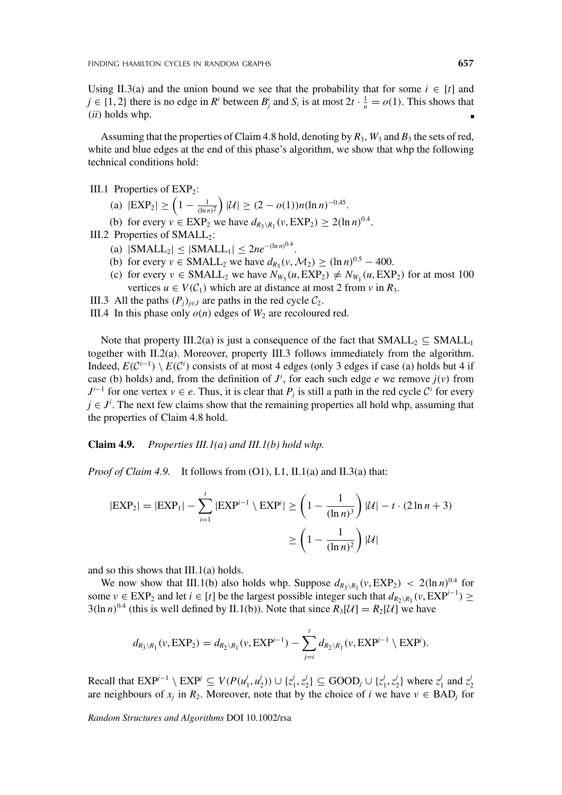Using II.3(a) and the union bound we see that the probability that for some  $i \in [t]$  and *j* ∈ {1, 2} there is no edge in  $R^i$  between  $B^i_j$  and  $S_i$  is at most  $2t \cdot \frac{1}{n} = o(1)$ . This shows that *(ii)* holds whp.

Assuming that the properties of Claim 4.8 hold, denoting by  $R_3$ ,  $W_3$  and  $B_3$  the sets of red, white and blue edges at the end of this phase's algorithm, we show that whp the following technical conditions hold:

III.1 Properties of EXP<sub>2</sub>:

- $\left| \text{EXP}_2 \right| \geq \left( 1 \frac{1}{(\ln n)^2} \right) |U| \geq (2 o(1)) n (\ln n)^{-0.45}.$
- (b) for every  $v \in EXP_2$  we have  $d_{R_3 \setminus R_1}(v, EXP_2) \ge 2(\ln n)^{0.4}$ .

III.2 Properties of  $SMALL<sub>2</sub>$ :

- $(a) |SMALL_2| \leq |SMALL_1| \leq 2ne^{-(\ln n)^{0.4}}$
- (b) for every  $v \in SMALL_2$  we have  $d_{R_3}(v, M_2) \ge (\ln n)^{0.5} 400$ .
- (c) for every  $v \in SMALL_2$  we have  $N_{W_3}(u, EXP_2) \neq N_{W_1}(u, EXP_2)$  for at most 100 vertices  $u \in V(C_1)$  which are at distance at most 2 from *v* in  $R_3$ .
- III.3 All the paths  $(P_i)_{i \in J}$  are paths in the red cycle  $C_2$ .
- III.4 In this phase only  $o(n)$  edges of  $W_2$  are recoloured red.

Note that property III.2(a) is just a consequence of the fact that  $SMALL_2 \subseteq SMALL_1$ together with II.2(a). Moreover, property III.3 follows immediately from the algorithm. Indeed,  $E(C^{i-1}) \setminus E(C^i)$  consists of at most 4 edges (only 3 edges if case (a) holds but 4 if case (b) holds) and, from the definition of  $J^i$ , for each such edge *e* we remove  $j(v)$  from  $J^{i-1}$  for one vertex  $v \in e$ . Thus, it is clear that  $P_i$  is still a path in the red cycle  $C^i$  for every  $j \in J^i$ . The next few claims show that the remaining properties all hold whp, assuming that the properties of Claim 4.8 hold.

#### **Claim 4.9.** *Properties III.1(a) and III.1(b) hold whp.*

*Proof of Claim 4.9.* It follows from (O1), I.1, II.1(a) and II.3(a) that:

$$
|\text{EXP}_2| = |\text{EXP}_1| - \sum_{i=1}^t |\text{EXP}^{i-1} \setminus \text{EXP}^i| \ge \left(1 - \frac{1}{(\ln n)^3}\right) |\mathcal{U}| - t \cdot (2\ln n + 3)
$$

$$
\ge \left(1 - \frac{1}{(\ln n)^2}\right) |\mathcal{U}|
$$

and so this shows that III.1(a) holds.

We now show that III.1(b) also holds whp. Suppose  $d_{R_3 \setminus R_1}(v, EXP_2) < 2(\ln n)^{0.4}$  for some *v* ∈ EXP<sub>2</sub> and let *i* ∈ [*t*] be the largest possible integer such that  $d_{R_2\setminus R_1}(v, EXP^{i-1})$  ≥  $3(\ln n)^{0.4}$  (this is well defined by II.1(b)). Note that since  $R_3[\mathcal{U}] = R_2[\mathcal{U}]$  we have

$$
d_{R_3 \setminus R_1}(v, EXP_2) = d_{R_2 \setminus R_1}(v, EXP^{i-1}) - \sum_{j=i}^{t} d_{R_2 \setminus R_1}(v, EXP^{j-1} \setminus EXP^{j}).
$$

Recall that  $\text{EXP}^{j-1} \setminus \text{EXP}^j \subseteq V(P(u_1^j, u_2^j)) \cup \{z_1^j, z_2^j\} \subseteq \text{GOOD}_j \cup \{z_1^j, z_2^j\}$  where  $z_1^j$  and  $z_2^j$ are neighbours of  $x_j$  in  $R_2$ . Moreover, note that by the choice of *i* we have  $v \in BAD_j$  for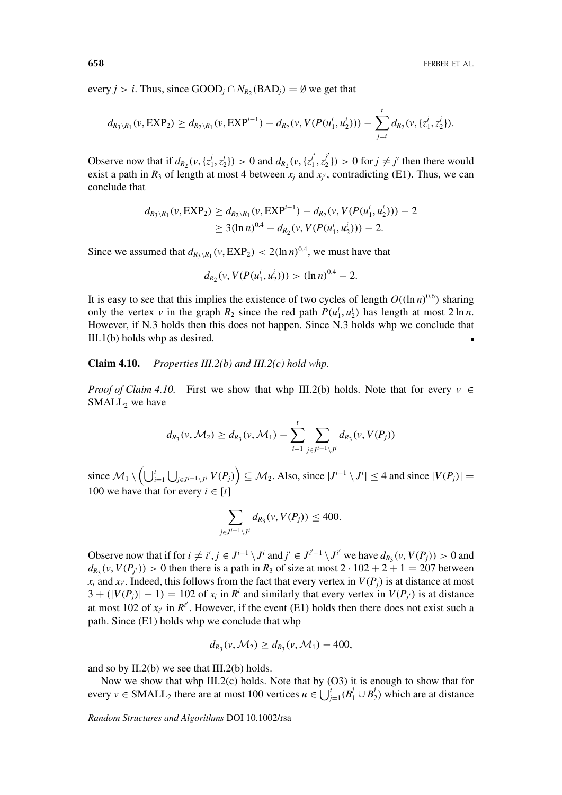every *j* > *i*. Thus, since  $\text{GOOD}_j \cap N_{R_2}(\text{BAD}_j) = \emptyset$  we get that

$$
d_{R_3\setminus R_1}(v, EXP_2) \geq d_{R_2\setminus R_1}(v, EXP^{i-1}) - d_{R_2}(v, V(P(u_1^i, u_2^i))) - \sum_{j=i}^t d_{R_2}(v, \{z_1^j, z_2^j\}).
$$

Observe now that if  $d_{R_2}(v, \{z_1^j, z_2^j\}) > 0$  and  $d_{R_2}(v, \{z_1^j, z_2^j\}) > 0$  for  $j \neq j'$  then there would exist a path in  $R_3$  of length at most 4 between  $x_j$  and  $x_{j'}$ , contradicting (E1). Thus, we can conclude that

$$
d_{R_3 \setminus R_1}(v, \text{EXP}_2) \ge d_{R_2 \setminus R_1}(v, \text{EXP}^{i-1}) - d_{R_2}(v, V(P(u_1^i, u_2^i))) - 2
$$
  
 
$$
\ge 3(\ln n)^{0.4} - d_{R_2}(v, V(P(u_1^i, u_2^i))) - 2.
$$

Since we assumed that  $d_{R_3 \setminus R_1}(v, EXP_2) < 2(\ln n)^{0.4}$ , we must have that

$$
d_{R_2}(v, V(P(u_1^i, u_2^i))) > (\ln n)^{0.4} - 2.
$$

It is easy to see that this implies the existence of two cycles of length  $O((\ln n)^{0.6})$  sharing only the vertex *v* in the graph  $R_2$  since the red path  $P(u_1^i, u_2^i)$  has length at most  $2 \ln n$ . However, if N.3 holds then this does not happen. Since N.3 holds whp we conclude that III.1(b) holds whp as desired.

## **Claim 4.10.** *Properties III.2(b) and III.2(c) hold whp.*

*Proof of Claim 4.10.* First we show that whp III.2(b) holds. Note that for every *v* ∈  $SMALL<sub>2</sub>$  we have

$$
d_{R_3}(v, \mathcal{M}_2) \geq d_{R_3}(v, \mathcal{M}_1) - \sum_{i=1}^t \sum_{j \in J^{i-1} \setminus J^i} d_{R_3}(v, V(P_j))
$$

since  $M_1 \setminus \left( \bigcup_{i=1}^t \bigcup_{j \in J^{i-1} \setminus J^i} V(P_j) \right) \subseteq M_2$ . Also, since  $|J^{i-1} \setminus J^i|$  ≤ 4 and since  $|V(P_j)|$  = 100 we have that for every  $i \in [t]$ 

$$
\sum_{j\in J^{i-1}\setminus J^i} d_{R_3}(v, V(P_j)) \leq 400.
$$

Observe now that if for  $i \neq i', j \in J^{i-1} \setminus J^i$  and  $j' \in J^{i'-1} \setminus J^{i'}$  we have  $d_{R_3}(v, V(P_j)) > 0$  and  $d_{R_3}(v, V(P_{i'})) > 0$  then there is a path in  $R_3$  of size at most  $2 \cdot 102 + 2 + 1 = 207$  between  $x_i$  and  $x_{i'}$ . Indeed, this follows from the fact that every vertex in  $V(P_j)$  is at distance at most  $3 + (|V(P_i)| - 1) = 102$  of  $x_i$  in  $R^i$  and similarly that every vertex in  $V(P_{i'})$  is at distance at most 102 of  $x_i$  in  $R^{i'}$ . However, if the event (E1) holds then there does not exist such a path. Since (E1) holds whp we conclude that whp

$$
d_{R_3}(v, \mathcal{M}_2) \geq d_{R_3}(v, \mathcal{M}_1) - 400,
$$

and so by  $II.2(b)$  we see that  $III.2(b)$  holds.

Now we show that whp III.2(c) holds. Note that by  $(O3)$  it is enough to show that for every  $v \in SMALL_2$  there are at most 100 vertices  $u \in \bigcup_{j=1}^{t} (B_1^j \cup B_2^j)$  which are at distance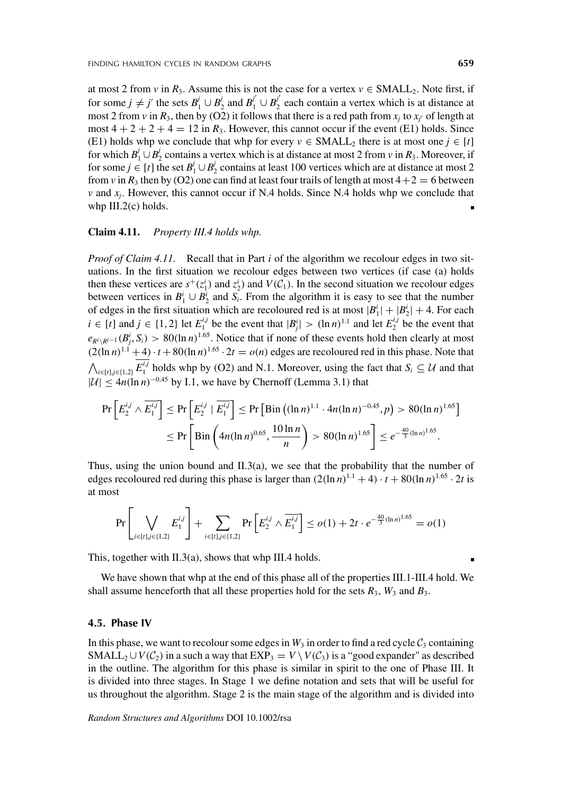at most 2 from *v* in  $R_3$ . Assume this is not the case for a vertex  $v \in SMALL_2$ . Note first, if for some  $j \neq j'$  the sets  $B_1^j \cup B_2^j$  and  $B_1^{j'} \cup B_2^{j'}$  each contain a vertex which is at distance at most 2 from *v* in  $R_3$ , then by (O2) it follows that there is a red path from  $x_i$  to  $x_{i'}$  of length at most  $4 + 2 + 2 + 4 = 12$  in  $R_3$ . However, this cannot occur if the event (E1) holds. Since (E1) holds whp we conclude that whp for every  $v \in SMALL_2$  there is at most one  $j \in [t]$ for which  $B_1^j \cup B_2^j$  contains a vertex which is at distance at most 2 from *v* in  $R_3$ . Moreover, if for some  $j \in [t]$  the set  $B_1^j \cup B_2^j$  contains at least 100 vertices which are at distance at most 2 from *v* in  $R_3$  then by (O2) one can find at least four trails of length at most  $4+2=6$  between *v* and *xj*. However, this cannot occur if N.4 holds. Since N.4 holds whp we conclude that whp III.2(c) holds.

# **Claim 4.11.** *Property III.4 holds whp.*

*Proof of Claim 4.11.* Recall that in Part *i* of the algorithm we recolour edges in two situations. In the first situation we recolour edges between two vertices (if case (a) holds then these vertices are  $s^+(z_1^i)$  and  $z_2^i$ ) and  $V(C_1)$ . In the second situation we recolour edges between vertices in  $B_1^i \cup B_2^i$  and  $S_i$ . From the algorithm it is easy to see that the number of edges in the first situation which are recoloured red is at most  $|B_1^i| + |B_2^i| + 4$ . For each *i* ∈ [*t*] and *j* ∈ {1, 2} let  $E_1^{i,j}$  be the event that  $|B_j^i|$  >  $(\ln n)^{1.1}$  and let  $E_2^{i,j}$  be the event that  $e_{R^i\setminus R^{i-1}}(B^i_j, S_i) > 80(\ln n)^{1.65}$ . Notice that if none of these events hold then clearly at most  $(2(\ln n)^{1.1} + 4) \cdot t + 80(\ln n)^{1.65} \cdot 2t = o(n)$  edges are recoloured red in this phase. Note that  $\bigwedge_{i \in [t], j \in \{1,2\}} E_1^{i,j}$  holds whp by (O2) and N.1. Moreover, using the fact that  $S_i \subseteq U$  and that  $|U| \le 4n(\ln n)^{-0.45}$  by I.1, we have by Chernoff (Lemma 3.1) that

$$
\Pr\left[E_2^{i,j} \wedge \overline{E_1^{i,j}}\right] \le \Pr\left[E_2^{i,j} \mid \overline{E_1^{i,j}}\right] \le \Pr\left[\text{Bin}\left((\ln n)^{1.1} \cdot 4n(\ln n)^{-0.45}, p\right) > 80(\ln n)^{1.65}\right] \\
\le \Pr\left[\text{Bin}\left(4n(\ln n)^{0.65}, \frac{10 \ln n}{n}\right) > 80(\ln n)^{1.65}\right] \le e^{-\frac{40}{3}(\ln n)^{1.65}}.
$$

Thus, using the union bound and  $II.3(a)$ , we see that the probability that the number of edges recoloured red during this phase is larger than  $(2(\ln n)^{1.1} + 4) \cdot t + 80(\ln n)^{1.65} \cdot 2t$  is at most

$$
\Pr\left[\bigvee_{i\in[t],j\in\{1,2\}} E_1^{i,j}\right] + \sum_{i\in[t],j\in\{1,2\}} \Pr\left[E_2^{i,j} \wedge \overline{E_1^{i,j}}\right] \le o(1) + 2t \cdot e^{-\frac{40}{3}(\ln n)^{1.65}} = o(1)
$$

This, together with  $II.3(a)$ , shows that whp III.4 holds.

We have shown that whp at the end of this phase all of the properties III.1-III.4 hold. We shall assume henceforth that all these properties hold for the sets  $R_3$ ,  $W_3$  and  $B_3$ .

## **4.5. Phase IV**

In this phase, we want to recolour some edges in  $W_3$  in order to find a red cycle  $C_3$  containing SMALL<sub>2</sub> ∪ *V*( $C_2$ ) in a such a way that EXP<sub>3</sub> = *V* \ *V*( $C_3$ ) is a "good expander" as described in the outline. The algorithm for this phase is similar in spirit to the one of Phase III. It is divided into three stages. In Stage 1 we define notation and sets that will be useful for us throughout the algorithm. Stage 2 is the main stage of the algorithm and is divided into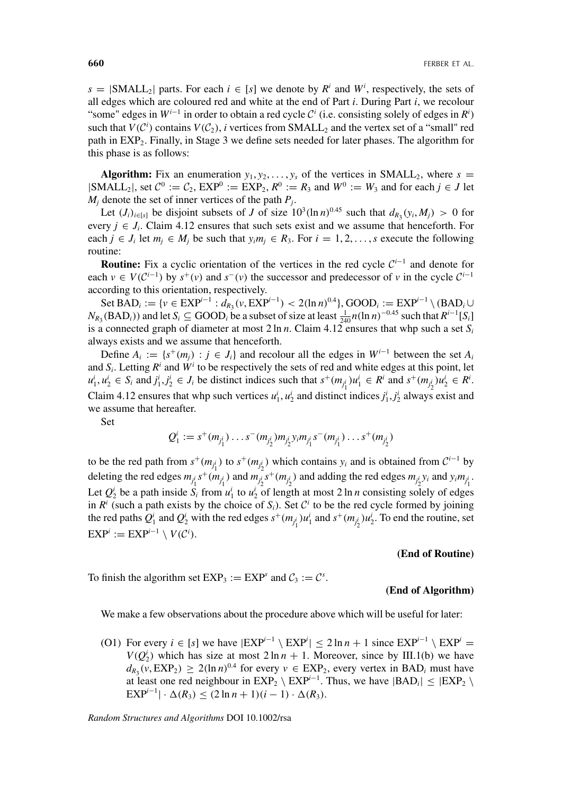$s = |\text{SMALL}_2|$  parts. For each  $i \in [s]$  we denote by  $R^i$  and  $W^i$ , respectively, the sets of all edges which are coloured red and white at the end of Part *i*. During Part *i*, we recolour "some" edges in  $W^{i-1}$  in order to obtain a red cycle  $C^i$  (i.e. consisting solely of edges in  $R^i$ ) such that  $V(C^i)$  contains  $V(C_2)$ , *i* vertices from SMALL<sub>2</sub> and the vertex set of a "small" red path in EXP2. Finally, in Stage 3 we define sets needed for later phases. The algorithm for this phase is as follows:

**Algorithm:** Fix an enumeration  $y_1, y_2, \ldots, y_s$  of the vertices in SMALL<sub>2</sub>, where  $s =$  $|SMALL_2|$ , set  $C^0 := C_2$ ,  $EXP^0 := EXP_2$ ,  $R^0 := R_3$  and  $W^0 := W_3$  and for each  $j \in J$  let  $M_i$  denote the set of inner vertices of the path  $P_j$ .

Let  $(J_i)_{i \in [s]}$  be disjoint subsets of *J* of size  $10^3 (\ln n)^{0.45}$  such that  $d_{R_3}(y_i, M_i) > 0$  for every  $j \in J_i$ . Claim 4.12 ensures that such sets exist and we assume that henceforth. For each  $j \in J_i$  let  $m_j \in M_j$  be such that  $y_i m_j \in R_3$ . For  $i = 1, 2, \ldots, s$  execute the following routine:

**Routine:** Fix a cyclic orientation of the vertices in the red cycle  $C^{i-1}$  and denote for each  $v \in V(C^{i-1})$  by  $s^+(v)$  and  $s^-(v)$  the successor and predecessor of *v* in the cycle  $C^{i-1}$ according to this orientation, respectively.

Set BAD<sub>*i*</sub> := {*v* ∈ EXP<sup>*i*−1</sup> :  $d_{R_3}(v, EXP^{i-1})$  < 2(ln *n*)<sup>0.4</sup>}, GOOD<sub>*i*</sub> := EXP<sup>*i*−1</sup> \ (BAD<sub>*i*</sub> ∪  $N_{R_3}(\text{BAD}_i)$  and let  $S_i \subseteq \text{GOOD}_i$  be a subset of size at least  $\frac{1}{240}n(\ln n)^{-0.45}$  such that  $R^{i-1}[S_i]$ is a connected graph of diameter at most  $2 \ln n$ . Claim  $4.12$  ensures that whp such a set  $S_i$ always exists and we assume that henceforth.

Define  $A_i := \{s^+(m_i) : j \in J_i\}$  and recolour all the edges in  $W^{i-1}$  between the set  $A_i$ and  $S_i$ . Letting  $R^i$  and  $W^i$  to be respectively the sets of red and white edges at this point, let  $u_1^i, u_2^i \in S_i$  and  $j_1^i, j_2^i \in J_i$  be distinct indices such that  $s^+(m_{j_1^i})u_1^i \in R^i$  and  $s^+(m_{j_2^i})u_2^i \in R^i$ . Claim 4.12 ensures that whp such vertices  $u_1^i, u_2^i$  and distinct indices  $j_1^i, j_2^i$  always exist and we assume that hereafter.

Set

$$
Q_1^i := s^+(m_{j_1^i}) \dots s^-(m_{j_2^i}) m_{j_2^i} y_i m_{j_1^i} s^-(m_{j_1^i}) \dots s^+(m_{j_2^i})
$$

to be the red path from  $s^+(m_{j_1})$  to  $s^+(m_{j_2})$  which contains  $y_i$  and is obtained from  $C^{i-1}$  by deleting the red edges  $m_{j_1^i}s^+(m_{j_1^i})$  and  $m_{j_2^i}s^+(m_{j_2^i})$  and adding the red edges  $m_{j_2^i}y_i$  and  $y_im_{j_1^i}$ . Let  $Q_2^i$  be a path inside  $S_i$  from  $u_1^i$  to  $u_2^i$  of length at most 2 ln *n* consisting solely of edges in  $R^i$  (such a path exists by the choice of  $S_i$ ). Set  $C^i$  to be the red cycle formed by joining the red paths  $Q_1^i$  and  $Q_2^i$  with the red edges  $s^+(m_{j_1^i})u_1^i$  and  $s^+(m_{j_2^i})u_2^i$ . To end the routine, set  $EXP<sup>i</sup> := EXP<sup>i-1</sup> \setminus V(\mathcal{C}^i)$ .

#### **(End of Routine)**

To finish the algorithm set  $EXP_3 := EXP^s$  and  $C_3 := C^s$ .

#### **(End of Algorithm)**

We make a few observations about the procedure above which will be useful for later:

(O1) For every *i* ∈ [*s*] we have  $|EXP^{i-1} \setminus EXP^{i}| \leq 2 \ln n + 1$  since  $EXP^{i-1} \setminus EXP^{i} =$  $V(Q_2^i)$  which has size at most  $2 \ln n + 1$ . Moreover, since by III.1(b) we have  $d_{R_3}(v, EXP_2) \geq 2(\ln n)^{0.4}$  for every  $v \in EXP_2$ , every vertex in BAD<sub>*i*</sub> must have at least one red neighbour in  $\text{EXP}_2 \setminus \text{EXP}^{i-1}$ . Thus, we have  $|\text{BAD}_i| \leq |\text{EXP}_2 \setminus \text{EXP}^{i-1}|$  $EXP^{i-1}$  | ·  $\Delta(R_3) \leq (2 \ln n + 1)(i - 1) \cdot \Delta(R_3)$ .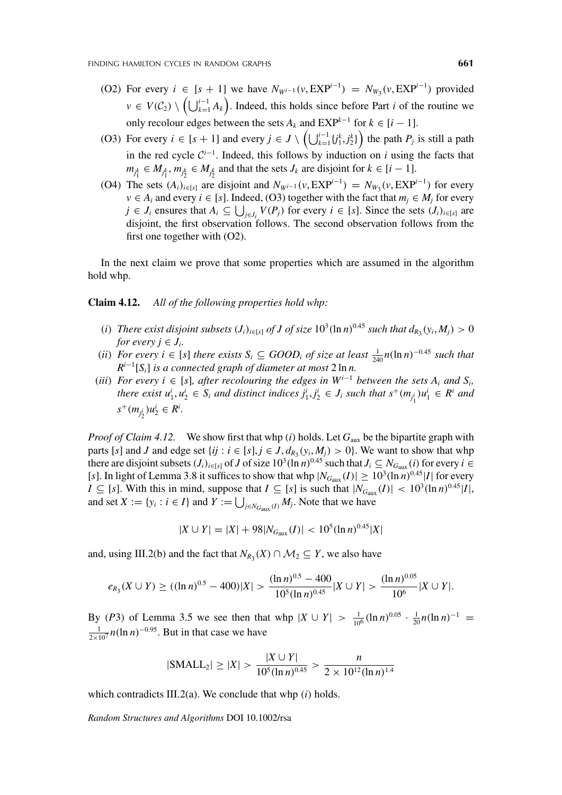- (O2) For every *i* ∈ [*s* + 1] we have  $N_{W^{i-1}}(v, EXP^{i-1}) = N_{W_3}(v, EXP^{i-1})$  provided  $v \in V(C_2) \setminus \left( \bigcup_{k=1}^{i-1} A_k \right)$ . Indeed, this holds since before Part *i* of the routine we only recolour edges between the sets  $A_k$  and  $EXP^{k-1}$  for  $k \in [i-1]$ .
- (O3) For every  $i \in [s+1]$  and every  $j \in J \setminus \left( \bigcup_{k=1}^{i-1} \{j_1^k, j_2^k\} \right)$  the path  $P_j$  is still a path in the red cycle <sup>C</sup>*<sup>i</sup>*<sup>−</sup>1. Indeed, this follows by induction on *<sup>i</sup>* using the facts that  $m_{j_1^k} \in M_{j_1^k}, m_{j_2^k} \in M_{j_2^k}$  and that the sets  $J_k$  are disjoint for  $k \in [i-1]$ .
- (O4) The sets  $(A_i)_{i \in [s]}$  are disjoint and  $N_{W^{i-1}}(v, EXP^{i-1}) = N_{W_3}(v, EXP^{i-1})$  for every *v* ∈ *A<sub>i</sub>* and every *i* ∈ [*s*]. Indeed, (O3) together with the fact that  $m_j$  ∈  $M_j$  for every *j* ∈ *J<sub>i</sub>* ensures that  $A_i$  ⊆  $\bigcup_{j \in J_i} V(P_j)$  for every  $i \in [s]$ . Since the sets  $(J_i)_{i \in [s]}$  are disjoint, the first observation follows. The second observation follows from the first one together with (O2).

In the next claim we prove that some properties which are assumed in the algorithm hold whp.

**Claim 4.12.** *All of the following properties hold whp:*

- *(i) There exist disjoint subsets*  $(J_i)_{i \in [s]}$  *of J of size*  $10^3 (\ln n)^{0.45}$  *such that*  $d_{R_3}(y_i, M_i) > 0$ *for every*  $j \in J_i$ *.*
- $(iii)$  *For every*  $i \in [s]$  *there exists*  $S_i$  ⊆ *GOOD<sub>i</sub> of size at least*  $\frac{1}{240}n(\ln n)^{-0.45}$  *such that*  $R^{i-1}[S_i]$  *is a connected graph of diameter at most* 2 ln *n*.
- $(iii)$  *For every i* ∈ [*s*]*, after recolouring the edges in*  $W^{i-1}$  *between the sets*  $A_i$  *and*  $S_i$ *,* there exist  $u_1^i, u_2^i \in S_i$  and distinct indices  $j_1^i, j_2^i \in J_i$  such that  $s^+(m_{j_1^i})u_1^i \in R^i$  and  $s^+(m_{j_2^i})u_2^i \in R^i$ .

*Proof of Claim 4.12.* We show first that whp  $(i)$  holds. Let  $G_{aux}$  be the bipartite graph with parts [*s*] and *J* and edge set {*ij* :  $i \in [s], j \in J, d_{R_3}(y_i, M_j) > 0$ }. We want to show that whp there are disjoint subsets  $(J_i)_{i \in [s]}$  of *J* of size  $10^3 (\ln n)^{0.45}$  such that  $J_i \subseteq N_{G_{\text{aux}}}(i)$  for every  $i \in$ [*s*]. In light of Lemma 3.8 it suffices to show that whp  $|N_{G_{\text{aux}}}(I)| \geq 10^3 (\ln n)^{0.45} |I|$  for every *I* ⊆ [*s*]. With this in mind, suppose that  $I \subseteq [s]$  is such that  $|N_{G_{\text{aux}}}(I)| < 10^3 (\ln n)^{0.45} |I|$ , and set *X* :=  $\{y_i : i \in I\}$  and  $Y := \bigcup_{j \in N_{G_{\text{aux}}(I)}} M_j$ . Note that we have

$$
|X \cup Y| = |X| + 98|N_{G_{\text{aux}}}(I)| < 10^5 (\ln n)^{0.45} |X|
$$

and, using III.2(b) and the fact that  $N_{R_3}(X) \cap M_2 \subseteq Y$ , we also have

$$
e_{R_3}(X \cup Y) \ge ((\ln n)^{0.5} - 400)|X| > \frac{(\ln n)^{0.5} - 400}{10^5 (\ln n)^{0.45}}|X \cup Y| > \frac{(\ln n)^{0.05}}{10^6}|X \cup Y|.
$$

By *(P*3*)* of Lemma 3.5 we see then that whp  $|X \cup Y| > \frac{1}{10^6} (\ln n)^{0.05} \cdot \frac{1}{20} n (\ln n)^{-1} = \frac{1}{10^{10}} \ln n^{10.05}$  But in that case we have  $\frac{1}{2\times10^7}$  *n*(ln *n*)<sup>−0.95</sup>. But in that case we have

$$
|\text{SMALL}_2| \ge |X| > \frac{|X \cup Y|}{10^5 (\ln n)^{0.45}} > \frac{n}{2 \times 10^{12} (\ln n)^{1.4}}
$$

which contradicts III.2(a). We conclude that whp *(i)* holds.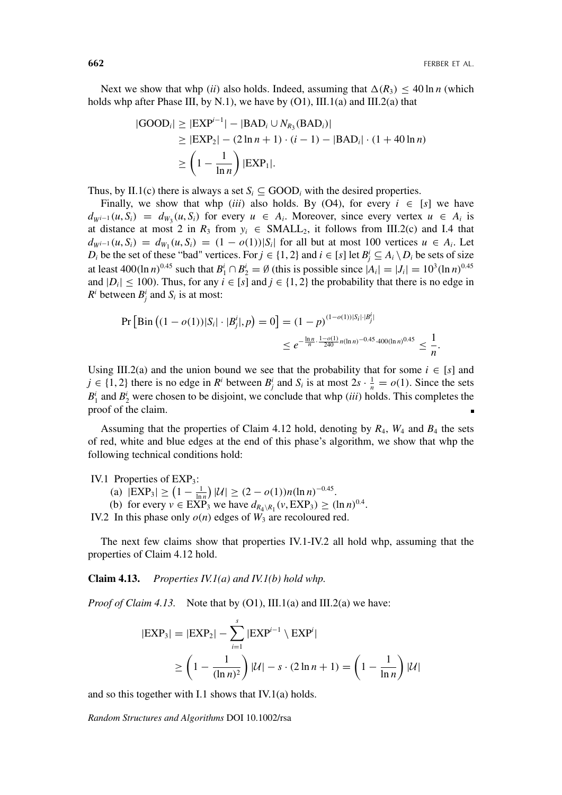Next we show that whp *(ii)* also holds. Indeed, assuming that  $\Delta(R_3) < 40 \ln n$  (which holds whp after Phase III, by N.1), we have by  $(O1)$ , III.1(a) and III.2(a) that

$$
|\text{GOOD}_i| \ge |\text{EXP}^{i-1}| - |\text{BAD}_i \cup N_{R_3}(\text{BAD}_i)|
$$
  
\n
$$
\ge |\text{EXP}_2| - (2 \ln n + 1) \cdot (i - 1) - |\text{BAD}_i| \cdot (1 + 40 \ln n)
$$
  
\n
$$
\ge \left(1 - \frac{1}{\ln n}\right) |\text{EXP}_1|.
$$

Thus, by II.1(c) there is always a set  $S_i \subseteq \text{GOOD}_i$  with the desired properties.

Finally, we show that whp *(iii)* also holds. By (O4), for every  $i \in [s]$  we have  $d_{W^{-1}}(u, S_i) = d_{W_3}(u, S_i)$  for every  $u \in A_i$ . Moreover, since every vertex  $u \in A_i$  is at distance at most 2 in  $R_3$  from  $y_i \in SMALL_2$ , it follows from III.2(c) and I.4 that *d<sub>Wi−1</sub>* (*u*, *S<sub>i</sub>*) =  $d_{W_1}(u, S_i)$  =  $(1 − o(1))|S_i|$  for all but at most 100 vertices  $u ∈ A_i$ . Let *D<sub>i</sub>* be the set of these "bad" vertices. For *j* ∈ {1, 2} and *i* ∈ [*s*] let  $B_j^i$  ⊆  $A_i \setminus D_i$  be sets of size at least  $400(\ln n)^{0.45}$  such that  $B_1^i \cap B_2^i = \emptyset$  (this is possible since  $|A_i| = |J_i| = 10^3 (\ln n)^{0.45}$ and  $|D_i| \le 100$ ). Thus, for any  $i \in [s]$  and  $j \in \{1, 2\}$  the probability that there is no edge in  $R^i$  between  $B^i_j$  and  $S_i$  is at most:

$$
\Pr\left[\text{Bin}\left((1 - o(1))|S_i| \cdot |B_j^i|, p\right) = 0\right] = (1 - p)^{(1 - o(1))|S_i| \cdot |B_j^i|} \le e^{-\frac{\ln n}{n} \cdot \frac{1 - o(1)}{240} n(\ln n)^{-0.45} \cdot 400(\ln n)^{0.45}} \le \frac{1}{n}.
$$

Using III.2(a) and the union bound we see that the probability that for some  $i \in [s]$  and *j* ∈ {1, 2} there is no edge in  $R^i$  between  $B^i_j$  and  $S_i$  is at most  $2s \cdot \frac{1}{n} = o(1)$ . Since the sets  $B_1^i$  and  $B_2^i$  were chosen to be disjoint, we conclude that whp *(iii)* holds. This completes the proof of the claim.

Assuming that the properties of Claim 4.12 hold, denoting by  $R_4$ ,  $W_4$  and  $B_4$  the sets of red, white and blue edges at the end of this phase's algorithm, we show that whp the following technical conditions hold:

## IV.1 Properties of  $EXP<sub>3</sub>$ :

 $\left| \sum_{n=1}^{\infty} \left( \sum_{n=1}^{\infty} \right) | \mathcal{U} | \right| \geq (2 - o(1)) n (\ln n)^{-0.45}.$ (b) for every  $v \in EXP_3$  we have  $d_{R_4 \setminus R_1}(v, EXP_3) \ge (\ln n)^{0.4}$ .

IV.2 In this phase only  $o(n)$  edges of  $W_3$  are recoloured red.

The next few claims show that properties IV.1-IV.2 all hold whp, assuming that the properties of Claim 4.12 hold.

**Claim 4.13.** *Properties IV.1(a) and IV.1(b) hold whp.*

*Proof of Claim 4.13.* Note that by (O1), III.1(a) and III.2(a) we have:

$$
|\text{EXP}_3| = |\text{EXP}_2| - \sum_{i=1}^s |\text{EXP}^{i-1} \setminus \text{EXP}^i|
$$
  
\n
$$
\geq \left(1 - \frac{1}{(\ln n)^2}\right)|U| - s \cdot (2 \ln n + 1) = \left(1 - \frac{1}{\ln n}\right)|U|
$$

and so this together with I.1 shows that IV.1(a) holds.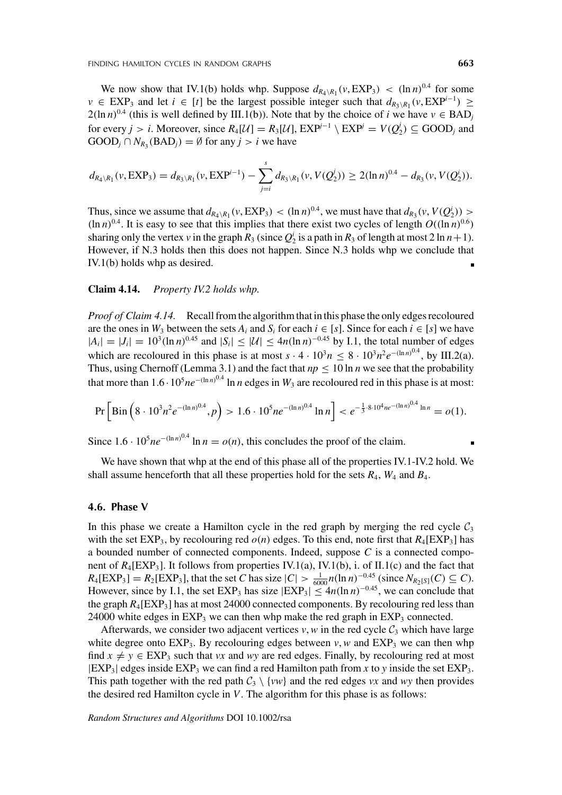We now show that IV.1(b) holds whp. Suppose  $d_{R_4\setminus R_1}(v, EXP_3) < (ln n)^{0.4}$  for some  $v \in EXP_3$  and let  $i \in [t]$  be the largest possible integer such that  $d_{R_3 \setminus R_1}(v, EXP^{i-1}) \ge$  $2(\ln n)^{0.4}$  (this is well defined by III.1(b)). Note that by the choice of *i* we have  $v \in BAD_j$ for every *j* > *i*. Moreover, since  $R_4[\mathcal{U}] = R_3[\mathcal{U}]$ ,  $\text{EXP}^{j-1} \setminus \text{EXP}^j = V(Q_2^j) \subseteq \text{GOOD}_j$  and  $\text{GOOD}_i \cap N_{R_3}(\text{BAD}_i) = \emptyset$  for any  $j > i$  we have

$$
d_{R_4 \setminus R_1}(v, EXP_3) = d_{R_3 \setminus R_1}(v, EXP^{i-1}) - \sum_{j=i}^{s} d_{R_3 \setminus R_1}(v, V(Q_2^j)) \ge 2(\ln n)^{0.4} - d_{R_3}(v, V(Q_2^j)).
$$

Thus, since we assume that  $d_{R_4\setminus R_1}(v, \text{EXP}_3) < (\ln n)^{0.4}$ , we must have that  $d_{R_3}(v, V(Q_2^i)) >$  $(\ln n)^{0.4}$ . It is easy to see that this implies that there exist two cycles of length  $O((\ln n)^{0.6})$ sharing only the vertex *v* in the graph  $R_3$  (since  $Q_2^i$  is a path in  $R_3$  of length at most 2 ln  $n+1$ ). However, if N.3 holds then this does not happen. Since N.3 holds whp we conclude that IV.1(b) holds whp as desired.

## **Claim 4.14.** *Property IV.2 holds whp.*

*Proof of Claim 4.14.* Recall from the algorithm that in this phase the only edges recoloured are the ones in  $W_3$  between the sets  $A_i$  and  $S_i$  for each  $i \in [s]$ . Since for each  $i \in [s]$  we have  $|A_i| = |J_i| = 10^3 (\ln n)^{0.45}$  and  $|S_i| \leq |U| \leq 4n(\ln n)^{-0.45}$  by I.1, the total number of edges which are recoloured in this phase is at most  $s \cdot 4 \cdot 10^3 n \leq 8 \cdot 10^3 n^2 e^{-(\ln n)^{0.4}}$ , by III.2(a). Thus, using Chernoff (Lemma 3.1) and the fact that  $np \le 10 \ln n$  we see that the probability that more than  $1.6 \cdot 10^5 n e^{-(\ln n)^{0.4}}$  ln *n* edges in  $W_3$  are recoloured red in this phase is at most:

$$
\Pr\left[\text{Bin}\left(8\cdot 10^3n^2e^{-(\ln n)^{0.4}}, p\right) > 1.6\cdot 10^5ne^{-(\ln n)^{0.4}}\ln n\right] < e^{-\frac{1}{3}\cdot 8\cdot 10^4ne^{-(\ln n)^{0.4}}\ln n} = o(1).
$$

Since  $1.6 \cdot 10^5 n e^{-(\ln n)^{0.4}} \ln n = o(n)$ , this concludes the proof of the claim.

We have shown that whp at the end of this phase all of the properties IV.1-IV.2 hold. We shall assume henceforth that all these properties hold for the sets  $R_4$ ,  $W_4$  and  $B_4$ .

#### **4.6. Phase V**

In this phase we create a Hamilton cycle in the red graph by merging the red cycle  $C_3$ with the set  $EXP_3$ , by recolouring red  $o(n)$  edges. To this end, note first that  $R_4[EXP_3]$  has a bounded number of connected components. Indeed, suppose *C* is a connected component of  $R_4$ [EXP<sub>3</sub>]. It follows from properties IV.1(a), IV.1(b), i. of II.1(c) and the fact that  $R_4$ [EXP<sub>3</sub>] =  $R_2$ [EXP<sub>3</sub>], that the set *C* has size  $|C| > \frac{1}{6000} n(\ln n)^{-0.45}$  (since  $N_{R_2[S]}(C) \subseteq C$ ). However, since by I.1, the set EXP<sub>3</sub> has size  $|EXP_3| \leq 4n(\ln n)^{-0.45}$ , we can conclude that the graph  $R_4$ [EXP<sub>3</sub>] has at most 24000 connected components. By recolouring red less than 24000 white edges in  $EXP<sub>3</sub>$  we can then whp make the red graph in  $EXP<sub>3</sub>$  connected.

Afterwards, we consider two adjacent vertices  $v, w$  in the red cycle  $C_3$  which have large white degree onto  $EXP_3$ . By recolouring edges between  $v, w$  and  $EXP_3$  we can then whp find  $x \neq y \in EXP_3$  such that *vx* and *wy* are red edges. Finally, by recolouring red at most  $|EXP_3|$  edges inside  $EXP_3$  we can find a red Hamilton path from *x* to *y* inside the set  $EXP_3$ . This path together with the red path  $C_3 \setminus \{vw\}$  and the red edges *vx* and *wy* then provides the desired red Hamilton cycle in *V*. The algorithm for this phase is as follows: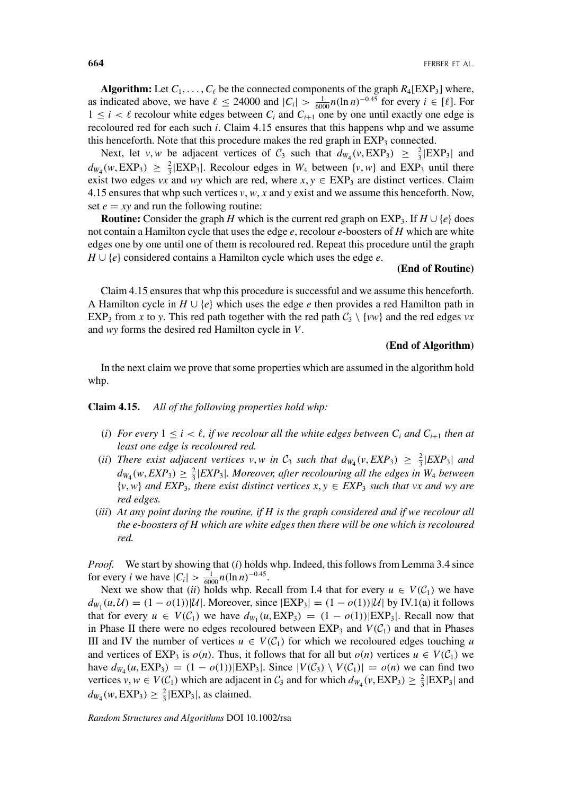**Algorithm:** Let  $C_1, \ldots, C_\ell$  be the connected components of the graph  $R_4$ [EXP<sub>3</sub>] where, as indicated above, we have  $\ell \leq 24000$  and  $|C_i| > \frac{1}{6000} n(\ln n)^{-0.45}$  for every  $i \in [\ell]$ . For  $1 \leq i < \ell$  recolour white edges between  $C_i$  and  $C_{i+1}$  one by one until exactly one edge is recoloured red for each such *i*. Claim 4.15 ensures that this happens whp and we assume this henceforth. Note that this procedure makes the red graph in  $EXP<sub>3</sub>$  connected.

Next, let *v*, *w* be adjacent vertices of  $C_3$  such that  $d_{W_4}(v, EXP_3) \geq \frac{2}{3} |EXP_3|$  and  $d_{W_4}(w, EXP_3) \geq \frac{2}{3}$  [EXP<sub>3</sub>]. Recolour edges in  $W_4$  between  $\{v, w\}$  and EXP<sub>3</sub> until there exist two edges *vx* and *wy* which are red, where  $x, y \in EXP_3$  are distinct vertices. Claim 4.15 ensures that whp such vertices *v*, *w*, *x* and *y* exist and we assume this henceforth. Now, set  $e = xy$  and run the following routine:

**Routine:** Consider the graph *H* which is the current red graph on  $EXP_3$ . If  $H \cup \{e\}$  does not contain a Hamilton cycle that uses the edge *e*, recolour *e*-boosters of *H* which are white edges one by one until one of them is recoloured red. Repeat this procedure until the graph *H* ∪ {*e*} considered contains a Hamilton cycle which uses the edge *e*.

#### **(End of Routine)**

Claim 4.15 ensures that whp this procedure is successful and we assume this henceforth. A Hamilton cycle in *H* ∪ {*e*} which uses the edge *e* then provides a red Hamilton path in EXP<sub>3</sub> from *x* to *y*. This red path together with the red path  $C_3 \setminus \{vw\}$  and the red edges *vx* and *wy* forms the desired red Hamilton cycle in *V*.

#### **(End of Algorithm)**

In the next claim we prove that some properties which are assumed in the algorithm hold whp.

#### **Claim 4.15.** *All of the following properties hold whp:*

- *(i)* For every  $1 \leq i \leq \ell$ , if we recolour all the white edges between  $C_i$  and  $C_{i+1}$  then at *least one edge is recoloured red.*
- (*ii*) *There exist adjacent vertices v,w in*  $C_3$  *such that*  $d_{W_4}(v, EXP_3) \geq \frac{2}{3} |EXP_3|$  *and*  $d_{W_4}(w, EXP_3) \geq \frac{2}{3} | EXP_3|$ *. Moreover, after recolouring all the edges in*  $W_4$  *between*  $\{v, w\}$  *and EXP*<sub>3</sub>*, there exist distinct vertices*  $x, y \in EXP_3$  *such that vx and wy are red edges.*
- *(iii) At any point during the routine, if H is the graph considered and if we recolour all the e-boosters of H which are white edges then there will be one which is recoloured red.*

*Proof.* We start by showing that *(i)* holds whp. Indeed, this follows from Lemma 3.4 since for every *i* we have  $|C_i| > \frac{1}{6000} n(\ln n)^{-0.45}$ .

Next we show that *(ii)* holds whp. Recall from I.4 that for every  $u \in V(C_1)$  we have  $d_{W_1}(u, \mathcal{U}) = (1 - o(1))|\mathcal{U}|$ . Moreover, since  $|EXP_3| = (1 - o(1))|\mathcal{U}|$  by IV.1(a) it follows that for every  $u \in V(C_1)$  we have  $d_{W_1}(u, EXP_3) = (1 - o(1))|EXP_3|$ . Recall now that in Phase II there were no edges recoloured between  $EXP_3$  and  $V(C_1)$  and that in Phases III and IV the number of vertices  $u \in V(C_1)$  for which we recoloured edges touching *u* and vertices of  $EXP_3$  is  $o(n)$ . Thus, it follows that for all but  $o(n)$  vertices  $u \in V(C_1)$  we have  $d_{W_4}(u, EXP_3) = (1 - o(1))|EXP_3|$ . Since  $|V(C_3) \setminus V(C_1)| = o(n)$  we can find two vertices  $v, w \in V(C_1)$  which are adjacent in  $C_3$  and for which  $d_{W_4}(v, EXP_3) \geq \frac{2}{3} |EXP_3|$  and  $d_{W_4}(w, \text{EXP}_3) \ge \frac{2}{3} |\text{EXP}_3|$ , as claimed.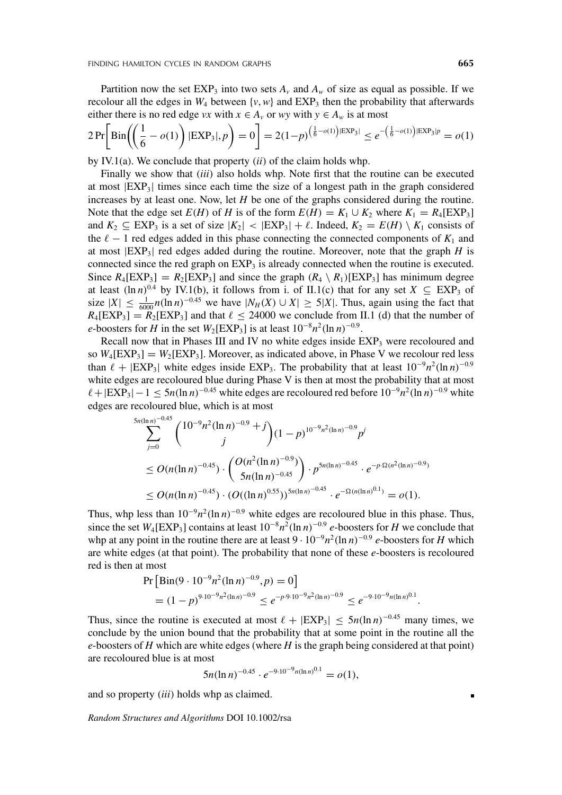Partition now the set  $EXP_3$  into two sets  $A_v$  and  $A_w$  of size as equal as possible. If we recolour all the edges in  $W_4$  between  $\{v, w\}$  and  $EXP_3$  then the probability that afterwards either there is no red edge *vx* with  $x \in A$ <sup>*v*</sup> or *wy* with  $y \in A$ <sup>*w*</sup> is at most

$$
2\Pr\left[\text{Bin}\left(\left(\frac{1}{6}-o(1)\right)|\text{EXP}_3|,p\right)=0\right]=2(1-p)^{\left(\frac{1}{6}-o(1)\right)|\text{EXP}_3|} \leq e^{-\left(\frac{1}{6}-o(1)\right)|\text{EXP}_3|p|} = o(1)
$$

by IV.1(a). We conclude that property *(ii)* of the claim holds whp.

Finally we show that *(iii)* also holds whp. Note first that the routine can be executed at most  $|EXP_3|$  times since each time the size of a longest path in the graph considered increases by at least one. Now, let *H* be one of the graphs considered during the routine. Note that the edge set  $E(H)$  of *H* is of the form  $E(H) = K_1 \cup K_2$  where  $K_1 = R_4$ [EXP<sub>3</sub>] and  $K_2 \subseteq EXP_3$  is a set of size  $|K_2| < |EXP_3| + \ell$ . Indeed,  $K_2 = E(H) \setminus K_1$  consists of the  $\ell - 1$  red edges added in this phase connecting the connected components of  $K_1$  and at most  $|EXP_3|$  red edges added during the routine. Moreover, note that the graph *H* is connected since the red graph on  $EXP<sub>3</sub>$  is already connected when the routine is executed. Since  $R_4$ [EXP<sub>3</sub>] =  $R_2$ [EXP<sub>3</sub>] and since the graph  $(R_4 \setminus R_1)$ [EXP<sub>3</sub>] has minimum degree at least  $(\ln n)^{0.4}$  by IV.1(b), it follows from i. of II.1(c) that for any set  $X \subseteq EXP_3$  of size  $|X| \leq \frac{1}{6000} n(\ln n)^{-0.45}$  we have  $|N_H(X) \cup X| \geq 5|X|$ . Thus, again using the fact that  $R_4$ [EXP<sub>3</sub>] =  $R_2$ [EXP<sub>3</sub>] and that  $\ell \le 24000$  we conclude from II.1 (d) that the number of *e*-boosters for *H* in the set  $W_2$ [EXP<sub>3</sub>] is at least  $10^{-8}n^2(\ln n)^{-0.9}$ .

Recall now that in Phases III and IV no white edges inside  $EXP<sub>3</sub>$  were recoloured and so  $W_4[EXP_3] = W_2[EXP_3]$ . Moreover, as indicated above, in Phase V we recolour red less than  $\ell + |EXP_3|$  white edges inside EXP<sub>3</sub>. The probability that at least  $10^{-9}n^2(\ln n)^{-0.9}$ white edges are recoloured blue during Phase V is then at most the probability that at most  $\ell + |EXP_3| - 1 \le 5n(\ln n)^{-0.45}$  white edges are recoloured red before  $10^{-9}n^2(\ln n)^{-0.9}$  white edges are recoloured blue, which is at most

$$
\sum_{j=0}^{5n(\ln n)^{-0.45}} {10^{-9}n^2(\ln n)^{-0.9} + j \choose j} (1-p)^{10^{-9}n^2(\ln n)^{-0.9}} p^j
$$
  
\n
$$
\leq O(n(\ln n)^{-0.45}) \cdot {O(n^2(\ln n)^{-0.9}) \choose 5n(\ln n)^{-0.45}} \cdot p^{5n(\ln n)^{-0.45}} \cdot e^{-p \cdot \Omega(n^2(\ln n)^{-0.9})}
$$
  
\n
$$
\leq O(n(\ln n)^{-0.45}) \cdot (O((\ln n)^{0.55}))^{5n(\ln n)^{-0.45}} \cdot e^{-\Omega(n(\ln n)^{0.1})} = o(1).
$$

Thus, whp less than  $10^{-9}n^2(\ln n)^{-0.9}$  white edges are recoloured blue in this phase. Thus, since the set  $W_4$ [EXP<sub>3</sub>] contains at least  $10^{-8}n^2(\ln n)^{-0.9}$  *e*-boosters for *H* we conclude that whp at any point in the routine there are at least  $9 \cdot 10^{-9} n^2 (\ln n)^{-0.9} e$ -boosters for *H* which are white edges (at that point). The probability that none of these *e*-boosters is recoloured red is then at most

$$
\Pr\left[\text{Bin}(9 \cdot 10^{-9} n^2 (\ln n)^{-0.9}, p) = 0\right]
$$
  
=  $(1-p)^{9 \cdot 10^{-9} n^2 (\ln n)^{-0.9}} \le e^{-p \cdot 9 \cdot 10^{-9} n^2 (\ln n)^{-0.9}} \le e^{-9 \cdot 10^{-9} n (\ln n)^{0.1}}$ 

.

Ē,

Thus, since the routine is executed at most  $\ell + |EXP_3| < 5n(\ln n)^{-0.45}$  many times, we conclude by the union bound that the probability that at some point in the routine all the *e*-boosters of *H* which are white edges (where *H* is the graph being considered at that point) are recoloured blue is at most

$$
5n(\ln n)^{-0.45} \cdot e^{-9 \cdot 10^{-9} n(\ln n)^{0.1}} = o(1),
$$

and so property *(iii)* holds whp as claimed.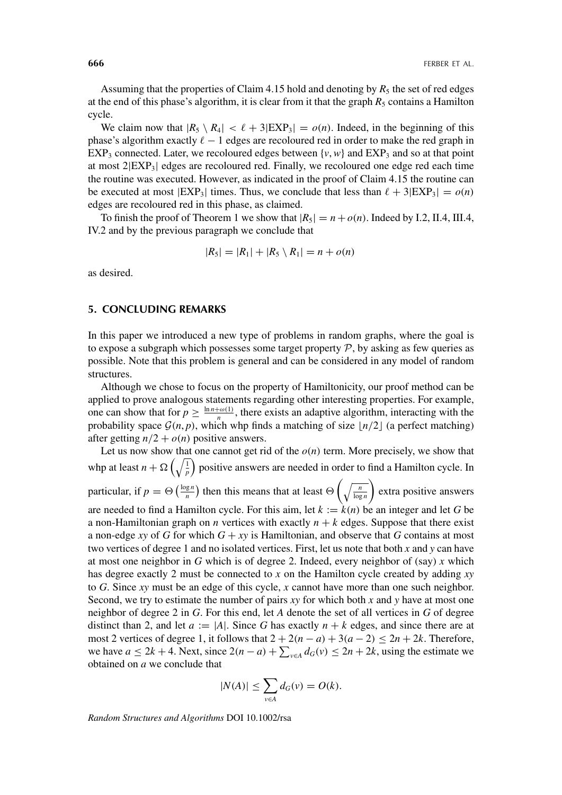Assuming that the properties of Claim 4.15 hold and denoting by  $R_5$  the set of red edges at the end of this phase's algorithm, it is clear from it that the graph  $R_5$  contains a Hamilton cycle.

We claim now that  $|R_5 \setminus R_4| < \ell + 3|\text{EXP}_3| = o(n)$ . Indeed, in the beginning of this phase's algorithm exactly  $\ell - 1$  edges are recoloured red in order to make the red graph in  $EXP<sub>3</sub> connected. Later, we recoloured edges between {*v*, *w*} and  $EXP<sub>3</sub>$  and so at that point$ at most  $2|EXP_3|$  edges are recoloured red. Finally, we recoloured one edge red each time the routine was executed. However, as indicated in the proof of Claim 4.15 the routine can be executed at most  $|EXP_3|$  times. Thus, we conclude that less than  $\ell + 3|EXP_3| = o(n)$ edges are recoloured red in this phase, as claimed.

To finish the proof of Theorem 1 we show that  $|R_5| = n + o(n)$ . Indeed by I.2, II.4, III.4, IV.2 and by the previous paragraph we conclude that

$$
|R_5| = |R_1| + |R_5 \setminus R_1| = n + o(n)
$$

as desired.

#### **5. CONCLUDING REMARKS**

In this paper we introduced a new type of problems in random graphs, where the goal is to expose a subgraph which possesses some target property  $P$ , by asking as few queries as possible. Note that this problem is general and can be considered in any model of random structures.

Although we chose to focus on the property of Hamiltonicity, our proof method can be applied to prove analogous statements regarding other interesting properties. For example, one can show that for  $p \ge \frac{\ln n + \omega(1)}{n}$ , there exists an adaptive algorithm, interacting with the probability space  $G(n, p)$ , which whp finds a matching of size  $\lfloor n/2 \rfloor$  (a perfect matching) after getting  $n/2 + o(n)$  positive answers.

Let us now show that one cannot get rid of the  $o(n)$  term. More precisely, we show that whp at least  $n + \Omega\left(\sqrt{\frac{1}{p}}\right)$  positive answers are needed in order to find a Hamilton cycle. In particular, if  $p = \Theta\left(\frac{\log n}{n}\right)$  then this means that at least  $\Theta\left(\sqrt{\frac{n}{\log n}}\right)$  extra positive answers are needed to find a Hamilton cycle. For this aim, let  $k := k(n)$  be an integer and let G be a non-Hamiltonian graph on *n* vertices with exactly  $n + k$  edges. Suppose that there exist a non-edge *xy* of *G* for which  $G + xy$  is Hamiltonian, and observe that *G* contains at most two vertices of degree 1 and no isolated vertices. First, let us note that both *x* and *y* can have at most one neighbor in *G* which is of degree 2. Indeed, every neighbor of (say) *x* which has degree exactly 2 must be connected to *x* on the Hamilton cycle created by adding *xy* to *G*. Since *xy* must be an edge of this cycle, *x* cannot have more than one such neighbor. Second, we try to estimate the number of pairs *xy* for which both *x* and *y* have at most one neighbor of degree 2 in *G*. For this end, let *A* denote the set of all vertices in *G* of degree distinct than 2, and let  $a := |A|$ . Since G has exactly  $n + k$  edges, and since there are at most 2 vertices of degree 1, it follows that  $2 + 2(n - a) + 3(a - 2) \le 2n + 2k$ . Therefore, we have  $a \le 2k + 4$ . Next, since  $2(n - a) + \sum_{v \in A} d_G(v) \le 2n + 2k$ , using the estimate we obtained on *a* we conclude that

$$
|N(A)| \le \sum_{v \in A} d_G(v) = O(k).
$$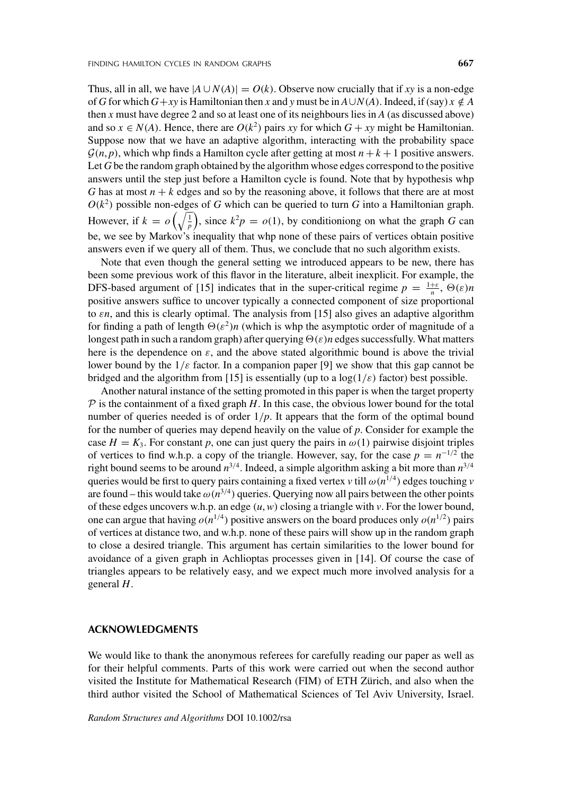Thus, all in all, we have  $|A \cup N(A)| = O(k)$ . Observe now crucially that if *xy* is a non-edge of *G* for which  $G+xy$  is Hamiltonian then *x* and *y* must be in  $A\cup N(A)$ . Indeed, if (say)  $x \notin A$ then  $x$  must have degree 2 and so at least one of its neighbours lies in  $A$  (as discussed above) and so  $x \in N(A)$ . Hence, there are  $O(k^2)$  pairs *xy* for which  $G + xy$  might be Hamiltonian. Suppose now that we have an adaptive algorithm, interacting with the probability space  $\mathcal{G}(n, p)$ , which whp finds a Hamilton cycle after getting at most  $n + k + 1$  positive answers. Let *G* be the random graph obtained by the algorithm whose edges correspond to the positive answers until the step just before a Hamilton cycle is found. Note that by hypothesis whp *G* has at most  $n + k$  edges and so by the reasoning above, it follows that there are at most  $O(k^2)$  possible non-edges of *G* which can be queried to turn *G* into a Hamiltonian graph. However, if  $k = o\left(\sqrt{\frac{1}{p}}\right)$ , since  $k^2p = o(1)$ , by conditioniong on what the graph *G* can be, we see by Markov's inequality that whp none of these pairs of vertices obtain positive answers even if we query all of them. Thus, we conclude that no such algorithm exists.

Note that even though the general setting we introduced appears to be new, there has been some previous work of this flavor in the literature, albeit inexplicit. For example, the DFS-based argument of [15] indicates that in the super-critical regime  $p = \frac{1+\varepsilon}{n}$ ,  $\Theta(\varepsilon)n$ positive answers suffice to uncover typically a connected component of size proportional to *εn*, and this is clearly optimal. The analysis from [15] also gives an adaptive algorithm for finding a path of length  $\Theta(\varepsilon^2)n$  (which is whp the asymptotic order of magnitude of a longest path in such a random graph) after querying  $\Theta(\varepsilon)n$  edges successfully. What matters here is the dependence on  $\varepsilon$ , and the above stated algorithmic bound is above the trivial lower bound by the 1*/ε* factor. In a companion paper [9] we show that this gap cannot be bridged and the algorithm from [15] is essentially (up to a  $log(1/\varepsilon)$  factor) best possible.

Another natural instance of the setting promoted in this paper is when the target property  $P$  is the containment of a fixed graph  $H$ . In this case, the obvious lower bound for the total number of queries needed is of order  $1/p$ . It appears that the form of the optimal bound for the number of queries may depend heavily on the value of *p*. Consider for example the case  $H = K_3$ . For constant p, one can just query the pairs in  $\omega(1)$  pairwise disjoint triples of vertices to find w.h.p. a copy of the triangle. However, say, for the case  $p = n^{-1/2}$  the right bound seems to be around  $n^{3/4}$ . Indeed, a simple algorithm asking a bit more than  $n^{3/4}$ queries would be first to query pairs containing a fixed vertex *v* till  $\omega(n^{1/4})$  edges touching *v* are found – this would take  $\omega(n^{3/4})$  queries. Querying now all pairs between the other points of these edges uncovers w.h.p. an edge *(u*,*w)* closing a triangle with *v*. For the lower bound, one can argue that having  $o(n^{1/4})$  positive answers on the board produces only  $o(n^{1/2})$  pairs of vertices at distance two, and w.h.p. none of these pairs will show up in the random graph to close a desired triangle. This argument has certain similarities to the lower bound for avoidance of a given graph in Achlioptas processes given in [14]. Of course the case of triangles appears to be relatively easy, and we expect much more involved analysis for a general *H*.

# **ACKNOWLEDGMENTS**

We would like to thank the anonymous referees for carefully reading our paper as well as for their helpful comments. Parts of this work were carried out when the second author visited the Institute for Mathematical Research (FIM) of ETH Zürich, and also when the third author visited the School of Mathematical Sciences of Tel Aviv University, Israel.